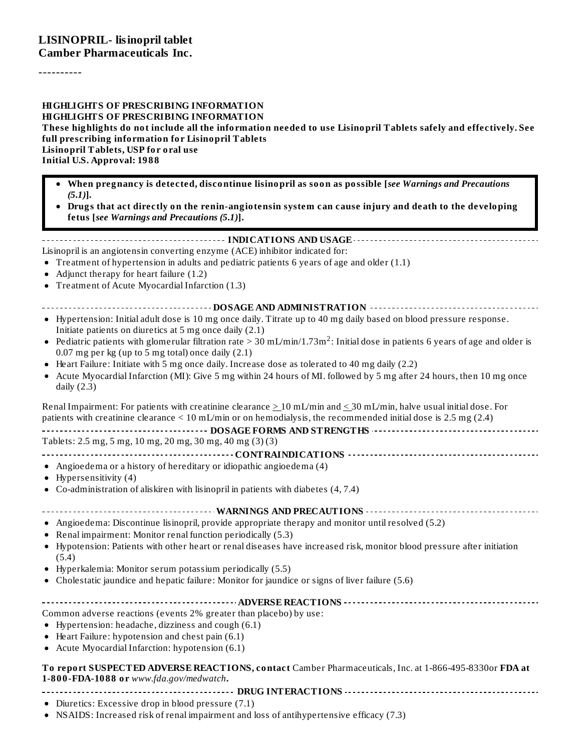----------

#### **HIGHLIGHTS OF PRESCRIBING INFORMATION HIGHLIGHTS OF PRESCRIBING INFORMATION** These highlights do not include all the information needed to use Lisinopril Tablets safely and effectively. See **full prescribing information for Lisinopril Tablets Lisinopril Tablets, USP for oral use Initial U.S. Approval: 1988**

- **When pregnancy is detected, discontinue lisinopril as soon as possible [***see Warnings and Precautions (5.1)***]***.*
- **Drugs that act directly on the renin-angiotensin system can cause injury and death to the developing fetus [***see Warnings and Precautions (5.1)***].**

**INDICATIONS AND USAGE** Lisinopril is an angiotensin converting enzyme (ACE) inhibitor indicated for: Treatment of hypertension in adults and pediatric patients 6 years of age and older (1.1)

- Adjunct therapy for heart failure (1.2)
- Treatment of Acute Myocardial Infarction (1.3)
- **DOSAGE AND ADMINISTRATION**
- Hypertension: Initial adult dose is 10 mg once daily. Titrate up to 40 mg daily based on blood pressure response. Initiate patients on diuretics at 5 mg once daily (2.1)
- Pediatric patients with glomerular filtration rate > 30 mL/min/1.73m<sup>2</sup>: Initial dose in patients 6 years of age and older is 0.07 mg per kg (up to 5 mg total) once daily (2.1)
- Heart Failure: Initiate with 5 mg once daily. Increase dose as tolerated to 40 mg daily (2.2)
- $\bullet$ Acute Myocardial Infarction (MI): Give 5 mg within 24 hours of MI. followed by 5 mg after 24 hours, then 10 mg once daily (2.3)

Renal Impairment: For patients with creatinine clearance  $\geq 10$  mL/min and  $\leq 30$  mL/min, halve usual initial dose. For patients with creatinine clearance < 10 mL/min or on hemodialysis, the recommended initial dose is 2.5 mg (2.4)

| Tablets: 2.5 mg, 5 mg, 10 mg, 20 mg, 30 mg, 40 mg (3) (3) |
|-----------------------------------------------------------|

- **CONTRAINDICATIONS**
- Angioedema or a history of hereditary or idiopathic angioedema (4)
- $\bullet$  Hypersensitivity (4)
- Co-administration of aliskiren with lisinopril in patients with diabetes (4, 7.4)

**WARNINGS AND PRECAUTIONS**

- Angioedema: Discontinue lisinopril, provide appropriate therapy and monitor until resolved (5.2)
- Renal impairment: Monitor renal function periodically (5.3)
- Hypotension: Patients with other heart or renal diseases have increased risk, monitor blood pressure after initiation (5.4)
- Hyperkalemia: Monitor serum potassium periodically (5.5)
- Cholestatic jaundice and hepatic failure: Monitor for jaundice or signs of liver failure (5.6)

# **ADVERSE REACTIONS**

Common adverse reactions (events 2% greater than placebo) by use:

- Hypertension: headache, dizziness and cough (6.1)
- Heart Failure: hypotension and chest pain (6.1)
- Acute Myocardial Infarction: hypotension (6.1)

**To report SUSPECTED ADVERSE REACTIONS, contact** Camber Pharmaceuticals, Inc. at 1-866-495-8330or **FDA at 1-800-FDA-1088 or** *www.fda.gov/medwatch***.**

**DRUG INTERACTIONS**

Diuretics: Excessive drop in blood pressure (7.1)

NSAIDS: Increased risk of renal impairment and loss of antihypertensive efficacy (7.3)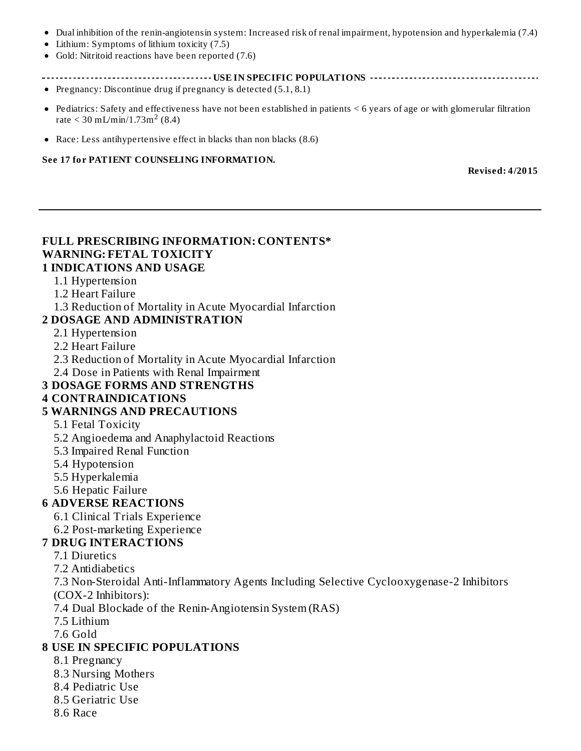- Dual inhibition of the renin-angiotensin system: Increased risk of renal impairment, hypotension and hyperkalemia (7.4)
- Lithium: Symptoms of lithium toxicity (7.5)
- Gold: Nitritoid reactions have been reported (7.6)
- **USE IN SPECIFIC POPULATIONS**
- Pregnancy: Discontinue drug if pregnancy is detected  $(5.1, 8.1)$
- Pediatrics: Safety and effectiveness have not been established in patients < 6 years of age or with glomerular filtration rate  $\leq 30 \text{ mL/min} / 1.73 \text{m}^2 (8.4)$
- Race: Less antihypertensive effect in blacks than non blacks (8.6)

#### **See 17 for PATIENT COUNSELING INFORMATION.**

**Revised: 4/2015**

# **FULL PRESCRIBING INFORMATION: CONTENTS\* WARNING: FETAL TOXICITY**

#### **1 INDICATIONS AND USAGE**

- 1.1 Hypertension
- 1.2 Heart Failure
- 1.3 Reduction of Mortality in Acute Myocardial Infarction

#### **2 DOSAGE AND ADMINISTRATION**

- 2.1 Hypertension
- 2.2 Heart Failure
- 2.3 Reduction of Mortality in Acute Myocardial Infarction
- 2.4 Dose in Patients with Renal Impairment

#### **3 DOSAGE FORMS AND STRENGTHS**

#### **4 CONTRAINDICATIONS**

#### **5 WARNINGS AND PRECAUTIONS**

- 5.1 Fetal Toxicity
- 5.2 Angioedema and Anaphylactoid Reactions
- 5.3 Impaired Renal Function
- 5.4 Hypotension
- 5.5 Hyperkalemia
- 5.6 Hepatic Failure

#### **6 ADVERSE REACTIONS**

- 6.1 Clinical Trials Experience
- 6.2 Post-marketing Experience
- **7 DRUG INTERACTIONS**

#### 7.1 Diuretics

7.2 Antidiabetics

7.3 Non-Steroidal Anti-Inflammatory Agents Including Selective Cyclooxygenase-2 Inhibitors

(COX-2 Inhibitors):

7.4 Dual Blockade of the Renin-Angiotensin System (RAS)

7.5 Lithium

7.6 Gold

#### **8 USE IN SPECIFIC POPULATIONS**

- 8.1 Pregnancy
- 8.3 Nursing Mothers
- 8.4 Pediatric Use
- 8.5 Geriatric Use
- 8.6 Race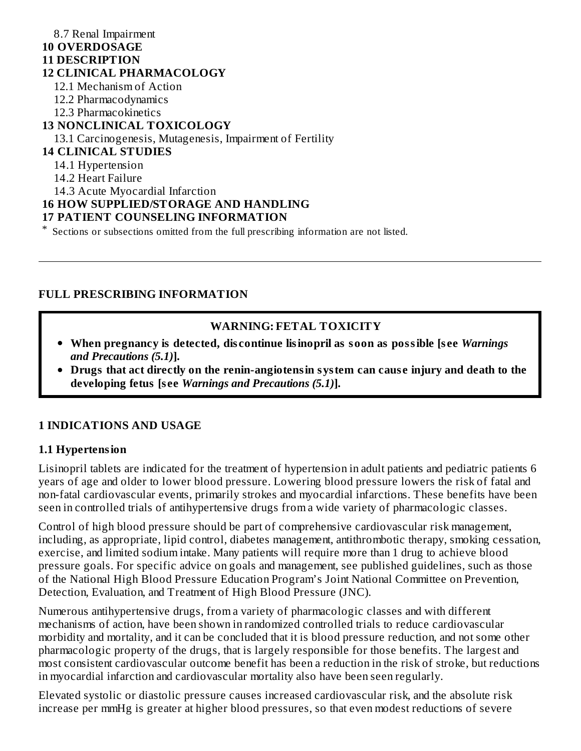#### 8.7 Renal Impairment **10 OVERDOSAGE 11 DESCRIPTION 12 CLINICAL PHARMACOLOGY** 12.1 Mechanism of Action 12.2 Pharmacodynamics 12.3 Pharmacokinetics **13 NONCLINICAL TOXICOLOGY** 13.1 Carcinogenesis, Mutagenesis, Impairment of Fertility **14 CLINICAL STUDIES** 14.1 Hypertension 14.2 Heart Failure 14.3 Acute Myocardial Infarction **16 HOW SUPPLIED/STORAGE AND HANDLING 17 PATIENT COUNSELING INFORMATION** \* Sections or subsections omitted from the full prescribing information are not listed.

# **FULL PRESCRIBING INFORMATION**

#### **WARNING: FETAL TOXICITY**

- **When pregnancy is detected, dis continue lisinopril as soon as possible [s ee** *Warnings and Precautions (5.1)***].**
- **Drugs that act directly on the renin-angiotensin system can caus e injury and death to the developing fetus [s ee** *Warnings and Precautions (5.1)***].**

#### **1 INDICATIONS AND USAGE**

#### **1.1 Hypertension**

Lisinopril tablets are indicated for the treatment of hypertension in adult patients and pediatric patients 6 years of age and older to lower blood pressure. Lowering blood pressure lowers the risk of fatal and non-fatal cardiovascular events, primarily strokes and myocardial infarctions. These benefits have been seen in controlled trials of antihypertensive drugs from a wide variety of pharmacologic classes.

Control of high blood pressure should be part of comprehensive cardiovascular risk management, including, as appropriate, lipid control, diabetes management, antithrombotic therapy, smoking cessation, exercise, and limited sodium intake. Many patients will require more than 1 drug to achieve blood pressure goals. For specific advice on goals and management, see published guidelines, such as those of the National High Blood Pressure Education Program's Joint National Committee on Prevention, Detection, Evaluation, and Treatment of High Blood Pressure (JNC).

Numerous antihypertensive drugs, from a variety of pharmacologic classes and with different mechanisms of action, have been shown in randomized controlled trials to reduce cardiovascular morbidity and mortality, and it can be concluded that it is blood pressure reduction, and not some other pharmacologic property of the drugs, that is largely responsible for those benefits. The largest and most consistent cardiovascular outcome benefit has been a reduction in the risk of stroke, but reductions in myocardial infarction and cardiovascular mortality also have been seen regularly.

Elevated systolic or diastolic pressure causes increased cardiovascular risk, and the absolute risk increase per mmHg is greater at higher blood pressures, so that even modest reductions of severe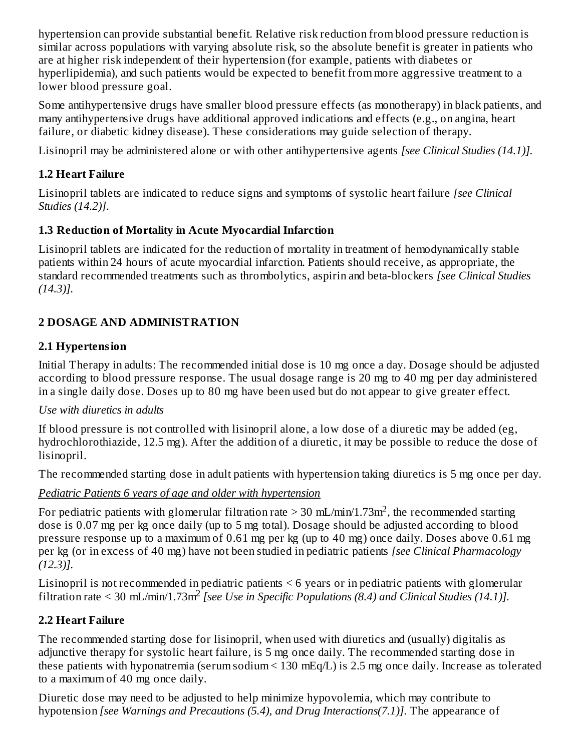hypertension can provide substantial benefit. Relative risk reduction from blood pressure reduction is similar across populations with varying absolute risk, so the absolute benefit is greater in patients who are at higher risk independent of their hypertension (for example, patients with diabetes or hyperlipidemia), and such patients would be expected to benefit from more aggressive treatment to a lower blood pressure goal.

Some antihypertensive drugs have smaller blood pressure effects (as monotherapy) in black patients, and many antihypertensive drugs have additional approved indications and effects (e.g., on angina, heart failure, or diabetic kidney disease). These considerations may guide selection of therapy.

Lisinopril may be administered alone or with other antihypertensive agents *[see Clinical Studies (14.1)].*

# **1.2 Heart Failure**

Lisinopril tablets are indicated to reduce signs and symptoms of systolic heart failure *[see Clinical Studies (14.2)]*.

# **1.3 Reduction of Mortality in Acute Myocardial Infarction**

Lisinopril tablets are indicated for the reduction of mortality in treatment of hemodynamically stable patients within 24 hours of acute myocardial infarction. Patients should receive, as appropriate, the standard recommended treatments such as thrombolytics, aspirin and beta-blockers *[see Clinical Studies (14.3)].*

# **2 DOSAGE AND ADMINISTRATION**

# **2.1 Hypertension**

Initial Therapy in adults: The recommended initial dose is 10 mg once a day. Dosage should be adjusted according to blood pressure response. The usual dosage range is 20 mg to 40 mg per day administered in a single daily dose. Doses up to 80 mg have been used but do not appear to give greater effect.

### *Use with diuretics in adults*

If blood pressure is not controlled with lisinopril alone, a low dose of a diuretic may be added (eg, hydrochlorothiazide, 12.5 mg). After the addition of a diuretic, it may be possible to reduce the dose of lisinopril.

The recommended starting dose in adult patients with hypertension taking diuretics is 5 mg once per day.

*Pediatric Patients 6 years of age and older with hypertension*

For pediatric patients with glomerular filtration rate > 30 mL/min/1.73m<sup>2</sup>, the recommended starting dose is 0.07 mg per kg once daily (up to 5 mg total). Dosage should be adjusted according to blood pressure response up to a maximum of 0.61 mg per kg (up to 40 mg) once daily. Doses above 0.61 mg per kg (or in excess of 40 mg) have not been studied in pediatric patients *[see Clinical Pharmacology (12.3)].*

Lisinopril is not recommended in pediatric patients < 6 years or in pediatric patients with glomerular filtration rate  $\leq$  30 mL/min/1.73m<sup>2</sup> [see Use in Specific Populations (8.4) and Clinical Studies (14.1)].

# **2.2 Heart Failure**

The recommended starting dose for lisinopril, when used with diuretics and (usually) digitalis as adjunctive therapy for systolic heart failure, is 5 mg once daily. The recommended starting dose in these patients with hyponatremia (serum sodium < 130 mEq/L) is 2.5 mg once daily. Increase as tolerated to a maximum of 40 mg once daily.

Diuretic dose may need to be adjusted to help minimize hypovolemia, which may contribute to hypotension *[see Warnings and Precautions (5.4), and Drug Interactions(7.1)]*. The appearance of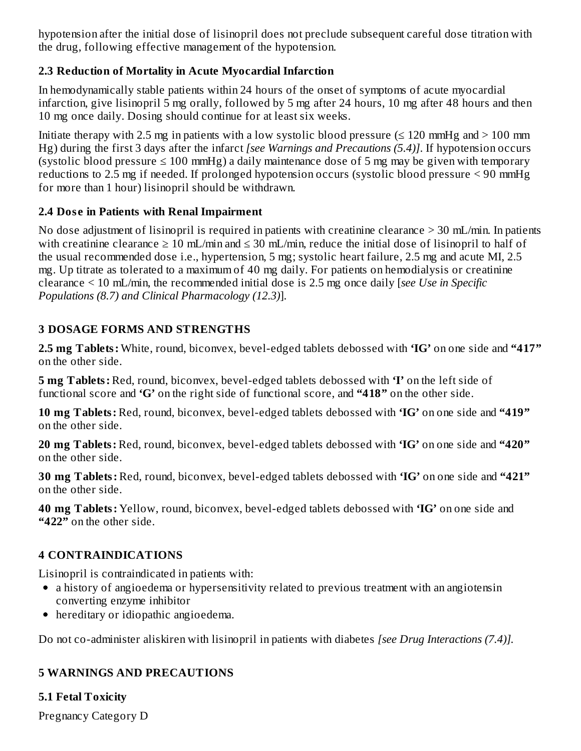hypotension after the initial dose of lisinopril does not preclude subsequent careful dose titration with the drug, following effective management of the hypotension.

### **2.3 Reduction of Mortality in Acute Myocardial Infarction**

In hemodynamically stable patients within 24 hours of the onset of symptoms of acute myocardial infarction, give lisinopril 5 mg orally, followed by 5 mg after 24 hours, 10 mg after 48 hours and then 10 mg once daily. Dosing should continue for at least six weeks.

Initiate therapy with 2.5 mg in patients with a low systolic blood pressure ( $\leq$  120 mmHg and  $>$  100 mm Hg) during the first 3 days after the infarct *[see Warnings and Precautions (5.4)]*. If hypotension occurs (systolic blood pressure  $\leq 100$  mmHg) a daily maintenance dose of 5 mg may be given with temporary reductions to 2.5 mg if needed. If prolonged hypotension occurs (systolic blood pressure < 90 mmHg for more than 1 hour) lisinopril should be withdrawn.

### **2.4 Dos e in Patients with Renal Impairment**

No dose adjustment of lisinopril is required in patients with creatinine clearance > 30 mL/min. In patients with creatinine clearance  $\geq 10$  mL/min and  $\leq 30$  mL/min, reduce the initial dose of lisinopril to half of the usual recommended dose i.e., hypertension, 5 mg; systolic heart failure, 2.5 mg and acute MI, 2.5 mg. Up titrate as tolerated to a maximum of 40 mg daily. For patients on hemodialysis or creatinine clearance < 10 mL/min, the recommended initial dose is 2.5 mg once daily [*see Use in Specific Populations (8.7) and Clinical Pharmacology (12.3)*].

# **3 DOSAGE FORMS AND STRENGTHS**

**2.5 mg Tablets:** White, round, biconvex, bevel-edged tablets debossed with **'IG'** on one side and **"417"** on the other side.

**5 mg Tablets:** Red, round, biconvex, bevel-edged tablets debossed with **'I'** on the left side of functional score and **'G'** on the right side of functional score, and **"418"** on the other side.

**10 mg Tablets:** Red, round, biconvex, bevel-edged tablets debossed with **'IG'** on one side and **"419"** on the other side.

**20 mg Tablets:** Red, round, biconvex, bevel-edged tablets debossed with **'IG'** on one side and **"420"** on the other side.

**30 mg Tablets:** Red, round, biconvex, bevel-edged tablets debossed with **'IG'** on one side and **"421"** on the other side.

**40 mg Tablets:** Yellow, round, biconvex, bevel-edged tablets debossed with **'IG'** on one side and **"422"** on the other side.

# **4 CONTRAINDICATIONS**

Lisinopril is contraindicated in patients with:

- a history of angioedema or hypersensitivity related to previous treatment with an angiotensin converting enzyme inhibitor
- hereditary or idiopathic angioedema.

Do not co-administer aliskiren with lisinopril in patients with diabetes *[see Drug Interactions (7.4)].*

# **5 WARNINGS AND PRECAUTIONS**

# **5.1 Fetal Toxicity**

Pregnancy Category D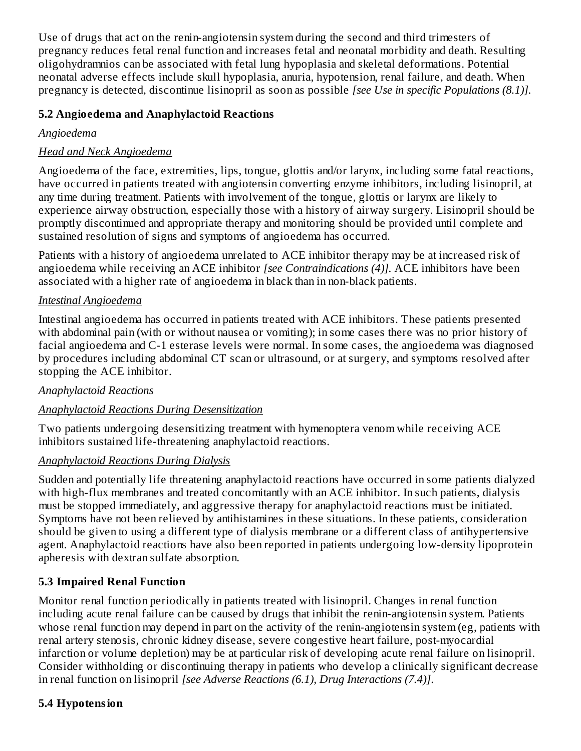Use of drugs that act on the renin-angiotensin system during the second and third trimesters of pregnancy reduces fetal renal function and increases fetal and neonatal morbidity and death. Resulting oligohydramnios can be associated with fetal lung hypoplasia and skeletal deformations. Potential neonatal adverse effects include skull hypoplasia, anuria, hypotension, renal failure, and death. When pregnancy is detected, discontinue lisinopril as soon as possible *[see Use in specific Populations (8.1)].*

### **5.2 Angioedema and Anaphylactoid Reactions**

#### *Angioedema*

### *Head and Neck Angioedema*

Angioedema of the face, extremities, lips, tongue, glottis and/or larynx, including some fatal reactions, have occurred in patients treated with angiotensin converting enzyme inhibitors, including lisinopril, at any time during treatment. Patients with involvement of the tongue, glottis or larynx are likely to experience airway obstruction, especially those with a history of airway surgery. Lisinopril should be promptly discontinued and appropriate therapy and monitoring should be provided until complete and sustained resolution of signs and symptoms of angioedema has occurred.

Patients with a history of angioedema unrelated to ACE inhibitor therapy may be at increased risk of angioedema while receiving an ACE inhibitor *[see Contraindications (4)].* ACE inhibitors have been associated with a higher rate of angioedema in black than in non-black patients.

#### *Intestinal Angioedema*

Intestinal angioedema has occurred in patients treated with ACE inhibitors. These patients presented with abdominal pain (with or without nausea or vomiting); in some cases there was no prior history of facial angioedema and C-1 esterase levels were normal. In some cases, the angioedema was diagnosed by procedures including abdominal CT scan or ultrasound, or at surgery, and symptoms resolved after stopping the ACE inhibitor.

#### *Anaphylactoid Reactions*

#### *Anaphylactoid Reactions During Desensitization*

Two patients undergoing desensitizing treatment with hymenoptera venom while receiving ACE inhibitors sustained life-threatening anaphylactoid reactions.

#### *Anaphylactoid Reactions During Dialysis*

Sudden and potentially life threatening anaphylactoid reactions have occurred in some patients dialyzed with high-flux membranes and treated concomitantly with an ACE inhibitor. In such patients, dialysis must be stopped immediately, and aggressive therapy for anaphylactoid reactions must be initiated. Symptoms have not been relieved by antihistamines in these situations. In these patients, consideration should be given to using a different type of dialysis membrane or a different class of antihypertensive agent. Anaphylactoid reactions have also been reported in patients undergoing low-density lipoprotein apheresis with dextran sulfate absorption.

### **5.3 Impaired Renal Function**

Monitor renal function periodically in patients treated with lisinopril. Changes in renal function including acute renal failure can be caused by drugs that inhibit the renin-angiotensin system. Patients whose renal function may depend in part on the activity of the renin-angiotensin system (eg, patients with renal artery stenosis, chronic kidney disease, severe congestive heart failure, post-myocardial infarction or volume depletion) may be at particular risk of developing acute renal failure on lisinopril. Consider withholding or discontinuing therapy in patients who develop a clinically significant decrease in renal function on lisinopril *[see Adverse Reactions (6.1), Drug Interactions (7.4)]*.

### **5.4 Hypotension**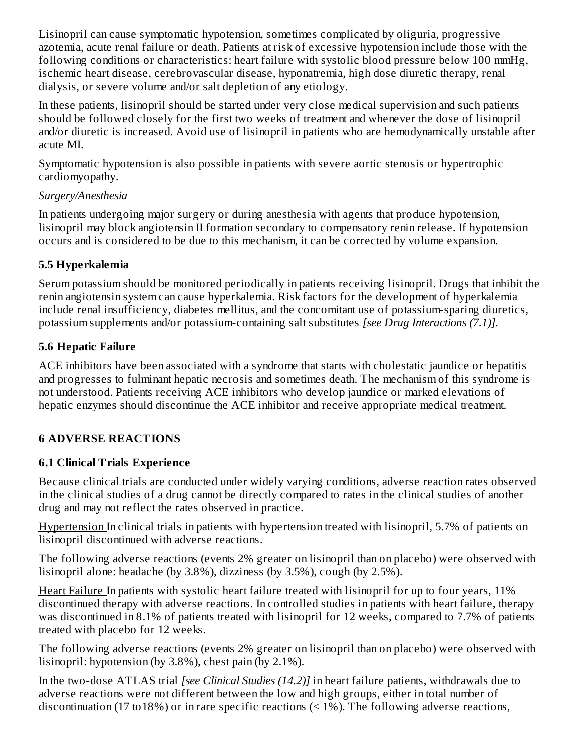Lisinopril can cause symptomatic hypotension, sometimes complicated by oliguria, progressive azotemia, acute renal failure or death. Patients at risk of excessive hypotension include those with the following conditions or characteristics: heart failure with systolic blood pressure below 100 mmHg, ischemic heart disease, cerebrovascular disease, hyponatremia, high dose diuretic therapy, renal dialysis, or severe volume and/or salt depletion of any etiology.

In these patients, lisinopril should be started under very close medical supervision and such patients should be followed closely for the first two weeks of treatment and whenever the dose of lisinopril and/or diuretic is increased. Avoid use of lisinopril in patients who are hemodynamically unstable after acute MI.

Symptomatic hypotension is also possible in patients with severe aortic stenosis or hypertrophic cardiomyopathy.

#### *Surgery/Anesthesia*

In patients undergoing major surgery or during anesthesia with agents that produce hypotension, lisinopril may block angiotensin II formation secondary to compensatory renin release. If hypotension occurs and is considered to be due to this mechanism, it can be corrected by volume expansion.

### **5.5 Hyperkalemia**

Serum potassium should be monitored periodically in patients receiving lisinopril. Drugs that inhibit the renin angiotensin system can cause hyperkalemia. Risk factors for the development of hyperkalemia include renal insufficiency, diabetes mellitus, and the concomitant use of potassium-sparing diuretics, potassium supplements and/or potassium-containing salt substitutes *[see Drug Interactions (7.1)].*

### **5.6 Hepatic Failure**

ACE inhibitors have been associated with a syndrome that starts with cholestatic jaundice or hepatitis and progresses to fulminant hepatic necrosis and sometimes death. The mechanism of this syndrome is not understood. Patients receiving ACE inhibitors who develop jaundice or marked elevations of hepatic enzymes should discontinue the ACE inhibitor and receive appropriate medical treatment.

# **6 ADVERSE REACTIONS**

# **6.1 Clinical Trials Experience**

Because clinical trials are conducted under widely varying conditions, adverse reaction rates observed in the clinical studies of a drug cannot be directly compared to rates in the clinical studies of another drug and may not reflect the rates observed in practice.

Hypertension In clinical trials in patients with hypertension treated with lisinopril, 5.7% of patients on lisinopril discontinued with adverse reactions.

The following adverse reactions (events 2% greater on lisinopril than on placebo) were observed with lisinopril alone: headache (by 3.8%), dizziness (by 3.5%), cough (by 2.5%).

Heart Failure In patients with systolic heart failure treated with lisinopril for up to four years, 11% discontinued therapy with adverse reactions. In controlled studies in patients with heart failure, therapy was discontinued in 8.1% of patients treated with lisinopril for 12 weeks, compared to 7.7% of patients treated with placebo for 12 weeks.

The following adverse reactions (events 2% greater on lisinopril than on placebo) were observed with lisinopril: hypotension (by 3.8%), chest pain (by 2.1%).

In the two-dose ATLAS trial *[see Clinical Studies (14.2)]* in heart failure patients, withdrawals due to adverse reactions were not different between the low and high groups, either in total number of discontinuation (17 to 18%) or in rare specific reactions ( $\leq$  1%). The following adverse reactions,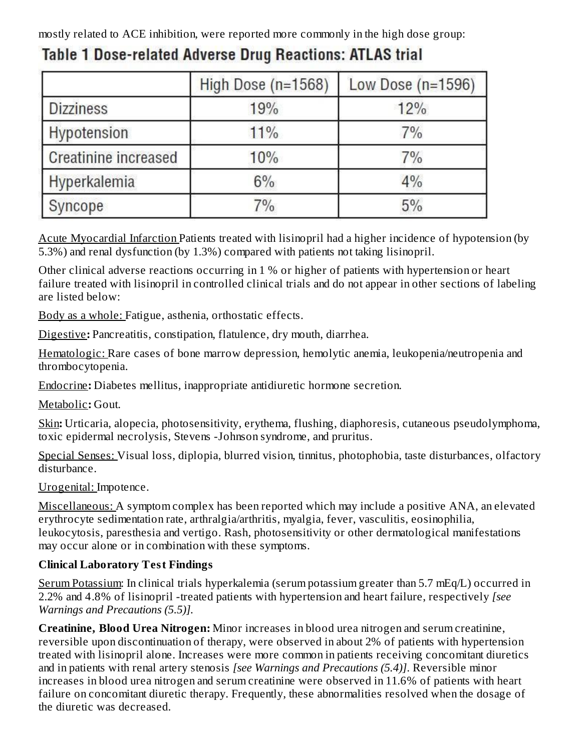mostly related to ACE inhibition, were reported more commonly in the high dose group:

|                             | High Dose (n=1568) | Low Dose $(n=1596)$ |
|-----------------------------|--------------------|---------------------|
| <b>Dizziness</b>            | 19%                | 12%                 |
| Hypotension                 | 11%                | 7%                  |
| <b>Creatinine increased</b> | 10%                | 7%                  |
| Hyperkalemia                | $6\%$              | 4%                  |
| Syncope                     | 7%                 | 5%                  |

# Table 1 Dose-related Adverse Drug Reactions: ATLAS trial

Acute Myocardial Infarction Patients treated with lisinopril had a higher incidence of hypotension (by 5.3%) and renal dysfunction (by 1.3%) compared with patients not taking lisinopril.

Other clinical adverse reactions occurring in 1 % or higher of patients with hypertension or heart failure treated with lisinopril in controlled clinical trials and do not appear in other sections of labeling are listed below:

Body as a whole: Fatigue, asthenia, orthostatic effects.

Digestive**:** Pancreatitis, constipation, flatulence, dry mouth, diarrhea.

Hematologic: Rare cases of bone marrow depression, hemolytic anemia, leukopenia/neutropenia and thrombocytopenia.

Endocrine**:** Diabetes mellitus, inappropriate antidiuretic hormone secretion.

Metabolic**:** Gout.

Skin**:** Urticaria, alopecia, photosensitivity, erythema, flushing, diaphoresis, cutaneous pseudolymphoma, toxic epidermal necrolysis, Stevens -Johnson syndrome, and pruritus.

Special Senses: Visual loss, diplopia, blurred vision, tinnitus, photophobia, taste disturbances, olfactory disturbance.

Urogenital: Impotence.

Miscellaneous: A symptom complex has been reported which may include a positive ANA, an elevated erythrocyte sedimentation rate, arthralgia/arthritis, myalgia, fever, vasculitis, eosinophilia, leukocytosis, paresthesia and vertigo. Rash, photosensitivity or other dermatological manifestations may occur alone or in combination with these symptoms.

# **Clinical Laboratory Test Findings**

Serum Potassium: In clinical trials hyperkalemia (serum potassium greater than 5.7 mEq/L) occurred in 2.2% and 4.8% of lisinopril -treated patients with hypertension and heart failure, respectively *[see Warnings and Precautions (5.5)].*

**Creatinine, Blood Urea Nitrogen:** Minor increases in blood urea nitrogen and serum creatinine, reversible upon discontinuation of therapy, were observed in about 2% of patients with hypertension treated with lisinopril alone. Increases were more common in patients receiving concomitant diuretics and in patients with renal artery stenosis *[see Warnings and Precautions (5.4)]*. Reversible minor increases in blood urea nitrogen and serum creatinine were observed in 11.6% of patients with heart failure on concomitant diuretic therapy. Frequently, these abnormalities resolved when the dosage of the diuretic was decreased.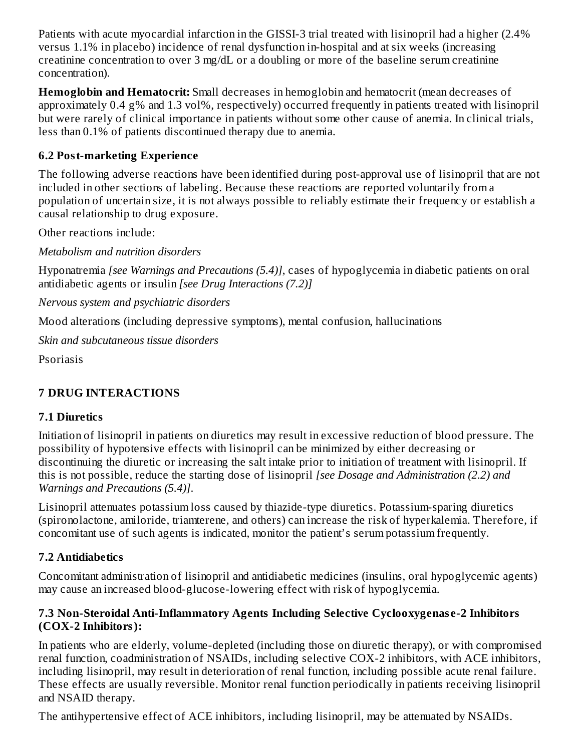Patients with acute myocardial infarction in the GISSI-3 trial treated with lisinopril had a higher (2.4% versus 1.1% in placebo) incidence of renal dysfunction in-hospital and at six weeks (increasing creatinine concentration to over 3 mg/dL or a doubling or more of the baseline serum creatinine concentration).

**Hemoglobin and Hematocrit:** Small decreases in hemoglobin and hematocrit (mean decreases of approximately 0.4 g% and 1.3 vol%, respectively) occurred frequently in patients treated with lisinopril but were rarely of clinical importance in patients without some other cause of anemia. In clinical trials, less than 0.1% of patients discontinued therapy due to anemia.

### **6.2 Post-marketing Experience**

The following adverse reactions have been identified during post-approval use of lisinopril that are not included in other sections of labeling. Because these reactions are reported voluntarily from a population of uncertain size, it is not always possible to reliably estimate their frequency or establish a causal relationship to drug exposure.

Other reactions include:

*Metabolism and nutrition disorders*

Hyponatremia *[see Warnings and Precautions (5.4)]*, cases of hypoglycemia in diabetic patients on oral antidiabetic agents or insulin *[see Drug Interactions (7.2)]*

*Nervous system and psychiatric disorders*

Mood alterations (including depressive symptoms), mental confusion, hallucinations

*Skin and subcutaneous tissue disorders*

Psoriasis

# **7 DRUG INTERACTIONS**

#### **7.1 Diuretics**

Initiation of lisinopril in patients on diuretics may result in excessive reduction of blood pressure. The possibility of hypotensive effects with lisinopril can be minimized by either decreasing or discontinuing the diuretic or increasing the salt intake prior to initiation of treatment with lisinopril. If this is not possible, reduce the starting dose of lisinopril *[see Dosage and Administration (2.2) and Warnings and Precautions (5.4)]*.

Lisinopril attenuates potassium loss caused by thiazide-type diuretics. Potassium-sparing diuretics (spironolactone, amiloride, triamterene, and others) can increase the risk of hyperkalemia. Therefore, if concomitant use of such agents is indicated, monitor the patient's serum potassium frequently.

### **7.2 Antidiabetics**

Concomitant administration of lisinopril and antidiabetic medicines (insulins, oral hypoglycemic agents) may cause an increased blood-glucose-lowering effect with risk of hypoglycemia.

#### **7.3 Non-Steroidal Anti-Inflammatory Agents Including Selective Cyclooxygenas e-2 Inhibitors (COX-2 Inhibitors):**

In patients who are elderly, volume-depleted (including those on diuretic therapy), or with compromised renal function, coadministration of NSAIDs, including selective COX-2 inhibitors, with ACE inhibitors, including lisinopril, may result in deterioration of renal function, including possible acute renal failure. These effects are usually reversible. Monitor renal function periodically in patients receiving lisinopril and NSAID therapy.

The antihypertensive effect of ACE inhibitors, including lisinopril, may be attenuated by NSAIDs.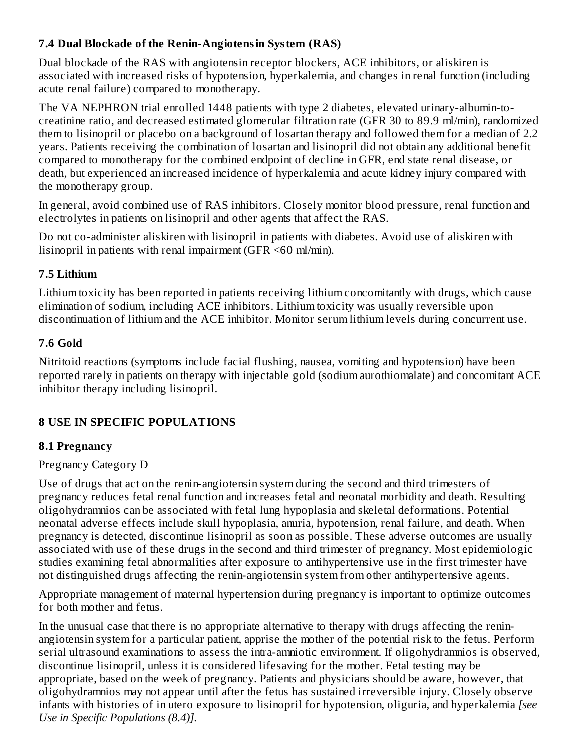#### **7.4 Dual Blockade of the Renin-Angiotensin System (RAS)**

Dual blockade of the RAS with angiotensin receptor blockers, ACE inhibitors, or aliskiren is associated with increased risks of hypotension, hyperkalemia, and changes in renal function (including acute renal failure) compared to monotherapy.

The VA NEPHRON trial enrolled 1448 patients with type 2 diabetes, elevated urinary-albumin-tocreatinine ratio, and decreased estimated glomerular filtration rate (GFR 30 to 89.9 ml/min), randomized them to lisinopril or placebo on a background of losartan therapy and followed them for a median of 2.2 years. Patients receiving the combination of losartan and lisinopril did not obtain any additional benefit compared to monotherapy for the combined endpoint of decline in GFR, end state renal disease, or death, but experienced an increased incidence of hyperkalemia and acute kidney injury compared with the monotherapy group.

In general, avoid combined use of RAS inhibitors. Closely monitor blood pressure, renal function and electrolytes in patients on lisinopril and other agents that affect the RAS.

Do not co-administer aliskiren with lisinopril in patients with diabetes. Avoid use of aliskiren with lisinopril in patients with renal impairment (GFR <60 ml/min).

### **7.5 Lithium**

Lithium toxicity has been reported in patients receiving lithium concomitantly with drugs, which cause elimination of sodium, including ACE inhibitors. Lithium toxicity was usually reversible upon discontinuation of lithium and the ACE inhibitor. Monitor serum lithium levels during concurrent use.

### **7.6 Gold**

Nitritoid reactions (symptoms include facial flushing, nausea, vomiting and hypotension) have been reported rarely in patients on therapy with injectable gold (sodium aurothiomalate) and concomitant ACE inhibitor therapy including lisinopril.

### **8 USE IN SPECIFIC POPULATIONS**

### **8.1 Pregnancy**

### Pregnancy Category D

Use of drugs that act on the renin-angiotensin system during the second and third trimesters of pregnancy reduces fetal renal function and increases fetal and neonatal morbidity and death. Resulting oligohydramnios can be associated with fetal lung hypoplasia and skeletal deformations. Potential neonatal adverse effects include skull hypoplasia, anuria, hypotension, renal failure, and death. When pregnancy is detected, discontinue lisinopril as soon as possible. These adverse outcomes are usually associated with use of these drugs in the second and third trimester of pregnancy. Most epidemiologic studies examining fetal abnormalities after exposure to antihypertensive use in the first trimester have not distinguished drugs affecting the renin-angiotensin system from other antihypertensive agents.

Appropriate management of maternal hypertension during pregnancy is important to optimize outcomes for both mother and fetus.

In the unusual case that there is no appropriate alternative to therapy with drugs affecting the reninangiotensin system for a particular patient, apprise the mother of the potential risk to the fetus. Perform serial ultrasound examinations to assess the intra-amniotic environment. If oligohydramnios is observed, discontinue lisinopril, unless it is considered lifesaving for the mother. Fetal testing may be appropriate, based on the week of pregnancy. Patients and physicians should be aware, however, that oligohydramnios may not appear until after the fetus has sustained irreversible injury. Closely observe infants with histories of in utero exposure to lisinopril for hypotension, oliguria, and hyperkalemia *[see Use in Specific Populations (8.4)].*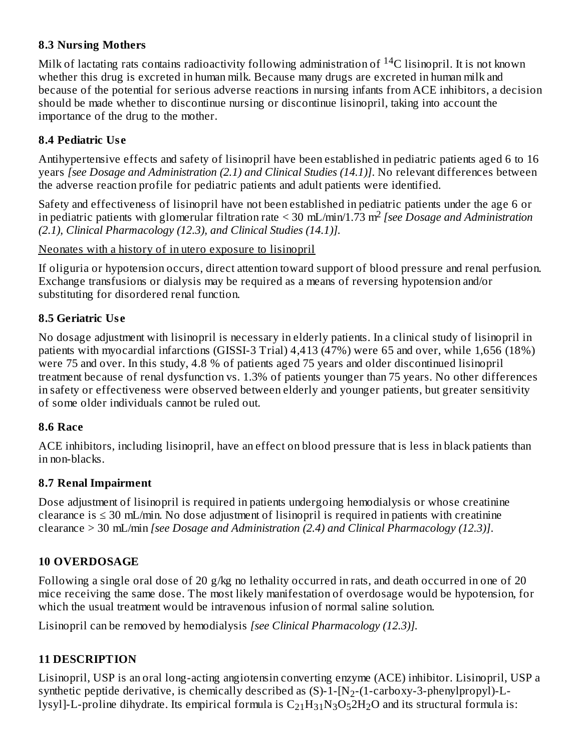#### **8.3 Nursing Mothers**

Milk of lactating rats contains radioactivity following administration of  $^{14}$ C lisinopril. It is not known whether this drug is excreted in human milk. Because many drugs are excreted in human milk and because of the potential for serious adverse reactions in nursing infants from ACE inhibitors, a decision should be made whether to discontinue nursing or discontinue lisinopril, taking into account the importance of the drug to the mother.

### **8.4 Pediatric Us e**

Antihypertensive effects and safety of lisinopril have been established in pediatric patients aged 6 to 16 years *[see Dosage and Administration (2.1) and Clinical Studies (14.1)]*. No relevant differences between the adverse reaction profile for pediatric patients and adult patients were identified.

Safety and effectiveness of lisinopril have not been established in pediatric patients under the age 6 or in pediatric patients with glomerular filtration rate < 30 mL/min/1.73 m<sup>2</sup> [see Dosage and Administration *(2.1), Clinical Pharmacology (12.3), and Clinical Studies (14.1)].*

Neonates with a history of in utero exposure to lisinopril

If oliguria or hypotension occurs, direct attention toward support of blood pressure and renal perfusion. Exchange transfusions or dialysis may be required as a means of reversing hypotension and/or substituting for disordered renal function.

### **8.5 Geriatric Us e**

No dosage adjustment with lisinopril is necessary in elderly patients. In a clinical study of lisinopril in patients with myocardial infarctions (GISSI-3 Trial) 4,413 (47%) were 65 and over, while 1,656 (18%) were 75 and over. In this study, 4.8 % of patients aged 75 years and older discontinued lisinopril treatment because of renal dysfunction vs. 1.3% of patients younger than 75 years. No other differences in safety or effectiveness were observed between elderly and younger patients, but greater sensitivity of some older individuals cannot be ruled out.

### **8.6 Race**

ACE inhibitors, including lisinopril, have an effect on blood pressure that is less in black patients than in non-blacks.

### **8.7 Renal Impairment**

Dose adjustment of lisinopril is required in patients undergoing hemodialysis or whose creatinine clearance is  $\leq$  30 mL/min. No dose adjustment of lisinopril is required in patients with creatinine clearance > 30 mL/min *[see Dosage and Administration (2.4) and Clinical Pharmacology (12.3)]*.

# **10 OVERDOSAGE**

Following a single oral dose of 20 g/kg no lethality occurred in rats, and death occurred in one of 20 mice receiving the same dose. The most likely manifestation of overdosage would be hypotension, for which the usual treatment would be intravenous infusion of normal saline solution.

Lisinopril can be removed by hemodialysis *[see Clinical Pharmacology (12.3)].*

# **11 DESCRIPTION**

Lisinopril, USP is an oral long-acting angiotensin converting enzyme (ACE) inhibitor. Lisinopril, USP a synthetic peptide derivative, is chemically described as  $(\mathrm{S})$ -1-[N $_2$ -(1-carboxy-3-phenylpropyl)-Llysyl]-L-proline dihydrate. Its empirical formula is  $\rm{C_{21}H_{31}N_{3}O_{5}2H_{2}O}$  and its structural formula is: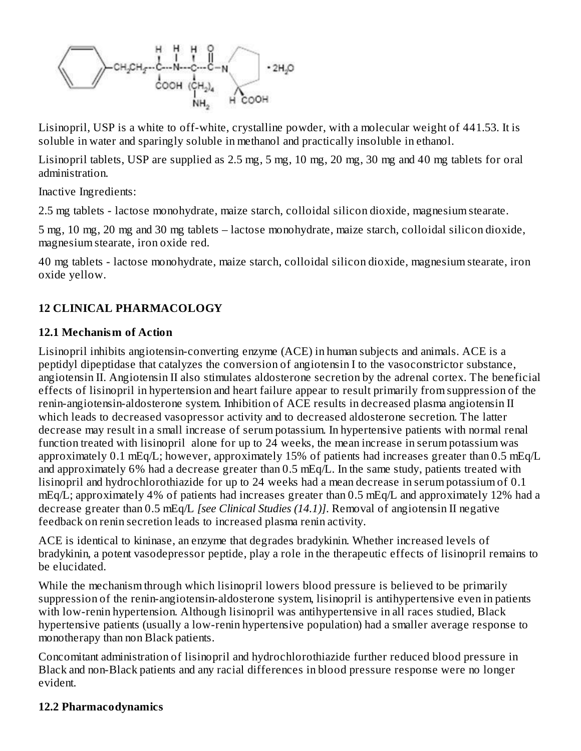

Lisinopril, USP is a white to off-white, crystalline powder, with a molecular weight of 441.53. It is soluble in water and sparingly soluble in methanol and practically insoluble in ethanol.

Lisinopril tablets, USP are supplied as 2.5 mg, 5 mg, 10 mg, 20 mg, 30 mg and 40 mg tablets for oral administration.

Inactive Ingredients:

2.5 mg tablets - lactose monohydrate, maize starch, colloidal silicon dioxide, magnesium stearate.

5 mg, 10 mg, 20 mg and 30 mg tablets – lactose monohydrate, maize starch, colloidal silicon dioxide, magnesium stearate, iron oxide red.

40 mg tablets - lactose monohydrate, maize starch, colloidal silicon dioxide, magnesium stearate, iron oxide yellow.

### **12 CLINICAL PHARMACOLOGY**

#### **12.1 Mechanism of Action**

Lisinopril inhibits angiotensin-converting enzyme (ACE) in human subjects and animals. ACE is a peptidyl dipeptidase that catalyzes the conversion of angiotensin I to the vasoconstrictor substance, angiotensin II. Angiotensin II also stimulates aldosterone secretion by the adrenal cortex. The beneficial effects of lisinopril in hypertension and heart failure appear to result primarily from suppression of the renin-angiotensin-aldosterone system. Inhibition of ACE results in decreased plasma angiotensin II which leads to decreased vasopressor activity and to decreased aldosterone secretion. The latter decrease may result in a small increase of serum potassium. In hypertensive patients with normal renal function treated with lisinopril alone for up to 24 weeks, the mean increase in serum potassium was approximately 0.1 mEq/L; however, approximately 15% of patients had increases greater than 0.5 mEq/L and approximately 6% had a decrease greater than 0.5 mEq/L. In the same study, patients treated with lisinopril and hydrochlorothiazide for up to 24 weeks had a mean decrease in serum potassium of 0.1 mEq/L; approximately 4% of patients had increases greater than 0.5 mEq/L and approximately 12% had a decrease greater than 0.5 mEq/L *[see Clinical Studies (14.1)]*. Removal of angiotensin II negative feedback on renin secretion leads to increased plasma renin activity.

ACE is identical to kininase, an enzyme that degrades bradykinin. Whether increased levels of bradykinin, a potent vasodepressor peptide, play a role in the therapeutic effects of lisinopril remains to be elucidated.

While the mechanism through which lisinopril lowers blood pressure is believed to be primarily suppression of the renin-angiotensin-aldosterone system, lisinopril is antihypertensive even in patients with low-renin hypertension. Although lisinopril was antihypertensive in all races studied, Black hypertensive patients (usually a low-renin hypertensive population) had a smaller average response to monotherapy than non Black patients.

Concomitant administration of lisinopril and hydrochlorothiazide further reduced blood pressure in Black and non-Black patients and any racial differences in blood pressure response were no longer evident.

#### **12.2 Pharmacodynamics**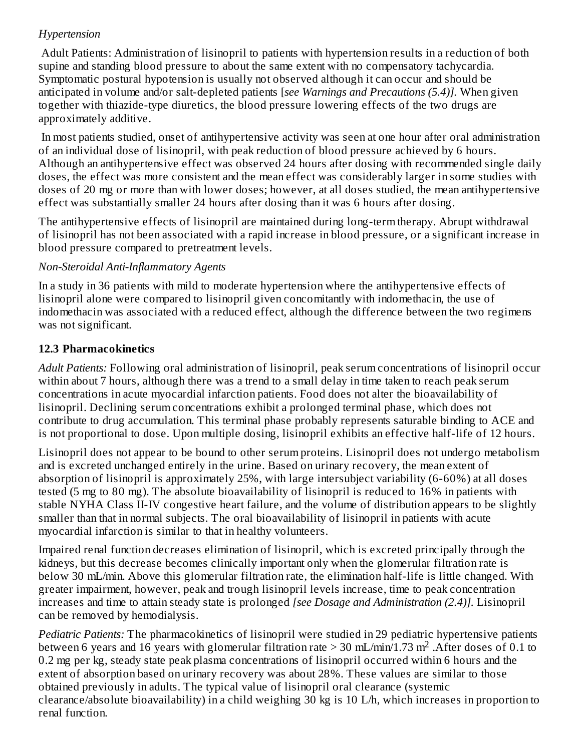### *Hypertension*

Adult Patients: Administration of lisinopril to patients with hypertension results in a reduction of both supine and standing blood pressure to about the same extent with no compensatory tachycardia. Symptomatic postural hypotension is usually not observed although it can occur and should be anticipated in volume and/or salt-depleted patients [*see Warnings and Precautions (5.4)].* When given together with thiazide-type diuretics, the blood pressure lowering effects of the two drugs are approximately additive.

In most patients studied, onset of antihypertensive activity was seen at one hour after oral administration of an individual dose of lisinopril, with peak reduction of blood pressure achieved by 6 hours. Although an antihypertensive effect was observed 24 hours after dosing with recommended single daily doses, the effect was more consistent and the mean effect was considerably larger in some studies with doses of 20 mg or more than with lower doses; however, at all doses studied, the mean antihypertensive effect was substantially smaller 24 hours after dosing than it was 6 hours after dosing.

The antihypertensive effects of lisinopril are maintained during long-term therapy. Abrupt withdrawal of lisinopril has not been associated with a rapid increase in blood pressure, or a significant increase in blood pressure compared to pretreatment levels.

### *Non-Steroidal Anti-Inflammatory Agents*

In a study in 36 patients with mild to moderate hypertension where the antihypertensive effects of lisinopril alone were compared to lisinopril given concomitantly with indomethacin, the use of indomethacin was associated with a reduced effect, although the difference between the two regimens was not significant.

### **12.3 Pharmacokinetics**

*Adult Patients:* Following oral administration of lisinopril, peak serum concentrations of lisinopril occur within about 7 hours, although there was a trend to a small delay in time taken to reach peak serum concentrations in acute myocardial infarction patients. Food does not alter the bioavailability of lisinopril. Declining serum concentrations exhibit a prolonged terminal phase, which does not contribute to drug accumulation. This terminal phase probably represents saturable binding to ACE and is not proportional to dose. Upon multiple dosing, lisinopril exhibits an effective half-life of 12 hours.

Lisinopril does not appear to be bound to other serum proteins. Lisinopril does not undergo metabolism and is excreted unchanged entirely in the urine. Based on urinary recovery, the mean extent of absorption of lisinopril is approximately 25%, with large intersubject variability (6-60%) at all doses tested (5 mg to 80 mg). The absolute bioavailability of lisinopril is reduced to 16% in patients with stable NYHA Class II-IV congestive heart failure, and the volume of distribution appears to be slightly smaller than that in normal subjects. The oral bioavailability of lisinopril in patients with acute myocardial infarction is similar to that in healthy volunteers.

Impaired renal function decreases elimination of lisinopril, which is excreted principally through the kidneys, but this decrease becomes clinically important only when the glomerular filtration rate is below 30 mL/min. Above this glomerular filtration rate, the elimination half-life is little changed. With greater impairment, however, peak and trough lisinopril levels increase, time to peak concentration increases and time to attain steady state is prolonged *[see Dosage and Administration (2.4)].* Lisinopril can be removed by hemodialysis.

*Pediatric Patients:* The pharmacokinetics of lisinopril were studied in 29 pediatric hypertensive patients between 6 years and 16 years with glomerular filtration rate > 30 mL/min/1.73 m<sup>2</sup>. After doses of 0.1 to 0.2 mg per kg, steady state peak plasma concentrations of lisinopril occurred within 6 hours and the extent of absorption based on urinary recovery was about 28%. These values are similar to those obtained previously in adults. The typical value of lisinopril oral clearance (systemic clearance/absolute bioavailability) in a child weighing 30 kg is 10 L/h, which increases in proportion to renal function.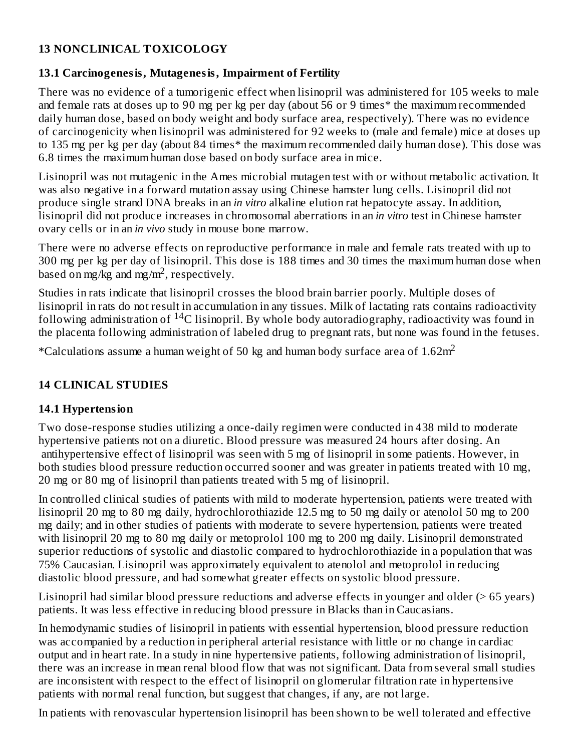#### **13 NONCLINICAL TOXICOLOGY**

#### **13.1 Carcinogenesis, Mutagenesis, Impairment of Fertility**

There was no evidence of a tumorigenic effect when lisinopril was administered for 105 weeks to male and female rats at doses up to 90 mg per kg per day (about 56 or 9 times\* the maximum recommended daily human dose, based on body weight and body surface area, respectively). There was no evidence of carcinogenicity when lisinopril was administered for 92 weeks to (male and female) mice at doses up to 135 mg per kg per day (about 84 times\* the maximum recommended daily human dose). This dose was 6.8 times the maximum human dose based on body surface area in mice.

Lisinopril was not mutagenic in the Ames microbial mutagen test with or without metabolic activation. It was also negative in a forward mutation assay using Chinese hamster lung cells. Lisinopril did not produce single strand DNA breaks in an *in vitro* alkaline elution rat hepatocyte assay. In addition, lisinopril did not produce increases in chromosomal aberrations in an *in vitro* test in Chinese hamster ovary cells or in an *in vivo* study in mouse bone marrow.

There were no adverse effects on reproductive performance in male and female rats treated with up to 300 mg per kg per day of lisinopril. This dose is 188 times and 30 times the maximum human dose when based on mg/kg and mg/m<sup>2</sup>, respectively.

Studies in rats indicate that lisinopril crosses the blood brain barrier poorly. Multiple doses of lisinopril in rats do not result in accumulation in any tissues. Milk of lactating rats contains radioactivity following administration of <sup>14</sup>C lisinopril. By whole body autoradiography, radioactivity was found in the placenta following administration of labeled drug to pregnant rats, but none was found in the fetuses.

\*Calculations assume a human weight of 50 kg and human body surface area of  $1.62$ m<sup>2</sup>

### **14 CLINICAL STUDIES**

### **14.1 Hypertension**

Two dose-response studies utilizing a once-daily regimen were conducted in 438 mild to moderate hypertensive patients not on a diuretic. Blood pressure was measured 24 hours after dosing. An antihypertensive effect of lisinopril was seen with 5 mg of lisinopril in some patients. However, in both studies blood pressure reduction occurred sooner and was greater in patients treated with 10 mg, 20 mg or 80 mg of lisinopril than patients treated with 5 mg of lisinopril.

In controlled clinical studies of patients with mild to moderate hypertension, patients were treated with lisinopril 20 mg to 80 mg daily, hydrochlorothiazide 12.5 mg to 50 mg daily or atenolol 50 mg to 200 mg daily; and in other studies of patients with moderate to severe hypertension, patients were treated with lisinopril 20 mg to 80 mg daily or metoprolol 100 mg to 200 mg daily. Lisinopril demonstrated superior reductions of systolic and diastolic compared to hydrochlorothiazide in a population that was 75% Caucasian. Lisinopril was approximately equivalent to atenolol and metoprolol in reducing diastolic blood pressure, and had somewhat greater effects on systolic blood pressure.

Lisinopril had similar blood pressure reductions and adverse effects in younger and older (> 65 years) patients. It was less effective in reducing blood pressure in Blacks than in Caucasians.

In hemodynamic studies of lisinopril in patients with essential hypertension, blood pressure reduction was accompanied by a reduction in peripheral arterial resistance with little or no change in cardiac output and in heart rate. In a study in nine hypertensive patients, following administration of lisinopril, there was an increase in mean renal blood flow that was not significant. Data from several small studies are inconsistent with respect to the effect of lisinopril on glomerular filtration rate in hypertensive patients with normal renal function, but suggest that changes, if any, are not large.

In patients with renovascular hypertension lisinopril has been shown to be well tolerated and effective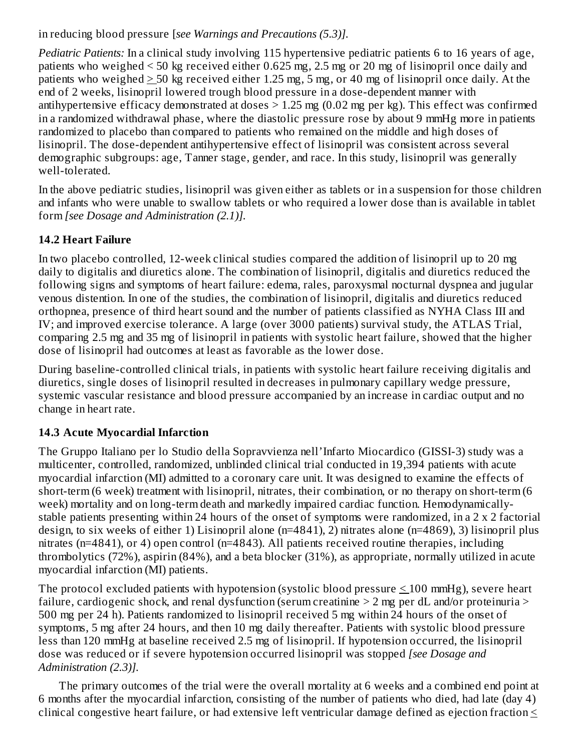in reducing blood pressure [*see Warnings and Precautions (5.3)].*

*Pediatric Patients:* In a clinical study involving 115 hypertensive pediatric patients 6 to 16 years of age, patients who weighed < 50 kg received either 0.625 mg, 2.5 mg or 20 mg of lisinopril once daily and patients who weighed > 50 kg received either 1.25 mg, 5 mg, or 40 mg of lisinopril once daily. At the end of 2 weeks, lisinopril lowered trough blood pressure in a dose-dependent manner with antihypertensive efficacy demonstrated at doses  $> 1.25$  mg (0.02 mg per kg). This effect was confirmed in a randomized withdrawal phase, where the diastolic pressure rose by about 9 mmHg more in patients randomized to placebo than compared to patients who remained on the middle and high doses of lisinopril. The dose-dependent antihypertensive effect of lisinopril was consistent across several demographic subgroups: age, Tanner stage, gender, and race. In this study, lisinopril was generally well-tolerated.

In the above pediatric studies, lisinopril was given either as tablets or in a suspension for those children and infants who were unable to swallow tablets or who required a lower dose than is available in tablet form *[see Dosage and Administration (2.1)].*

### **14.2 Heart Failure**

In two placebo controlled, 12-week clinical studies compared the addition of lisinopril up to 20 mg daily to digitalis and diuretics alone. The combination of lisinopril, digitalis and diuretics reduced the following signs and symptoms of heart failure: edema, rales, paroxysmal nocturnal dyspnea and jugular venous distention. In one of the studies, the combination of lisinopril, digitalis and diuretics reduced orthopnea, presence of third heart sound and the number of patients classified as NYHA Class III and IV; and improved exercise tolerance. A large (over 3000 patients) survival study, the ATLAS Trial, comparing 2.5 mg and 35 mg of lisinopril in patients with systolic heart failure, showed that the higher dose of lisinopril had outcomes at least as favorable as the lower dose.

During baseline-controlled clinical trials, in patients with systolic heart failure receiving digitalis and diuretics, single doses of lisinopril resulted in decreases in pulmonary capillary wedge pressure, systemic vascular resistance and blood pressure accompanied by an increase in cardiac output and no change in heart rate.

### **14.3 Acute Myocardial Infarction**

The Gruppo Italiano per lo Studio della Sopravvienza nell'Infarto Miocardico (GISSI-3) study was a multicenter, controlled, randomized, unblinded clinical trial conducted in 19,394 patients with acute myocardial infarction (MI) admitted to a coronary care unit. It was designed to examine the effects of short-term (6 week) treatment with lisinopril, nitrates, their combination, or no therapy on short-term (6 week) mortality and on long-term death and markedly impaired cardiac function. Hemodynamicallystable patients presenting within 24 hours of the onset of symptoms were randomized, in a 2 x 2 factorial design, to six weeks of either 1) Lisinopril alone (n=4841), 2) nitrates alone (n=4869), 3) lisinopril plus nitrates (n=4841), or 4) open control (n=4843). All patients received routine therapies, including thrombolytics (72%), aspirin (84%), and a beta blocker (31%), as appropriate, normally utilized in acute myocardial infarction (MI) patients.

The protocol excluded patients with hypotension (systolic blood pressure  $\leq 100$  mmHg), severe heart failure, cardiogenic shock, and renal dysfunction (serum creatinine  $> 2$  mg per dL and/or proteinuria  $>$ 500 mg per 24 h). Patients randomized to lisinopril received 5 mg within 24 hours of the onset of symptoms, 5 mg after 24 hours, and then 10 mg daily thereafter. Patients with systolic blood pressure less than 120 mmHg at baseline received 2.5 mg of lisinopril. If hypotension occurred, the lisinopril dose was reduced or if severe hypotension occurred lisinopril was stopped *[see Dosage and Administration (2.3)].*

The primary outcomes of the trial were the overall mortality at 6 weeks and a combined end point at 6 months after the myocardial infarction, consisting of the number of patients who died, had late (day 4) clinical congestive heart failure, or had extensive left ventricular damage defined as ejection fraction  $\leq$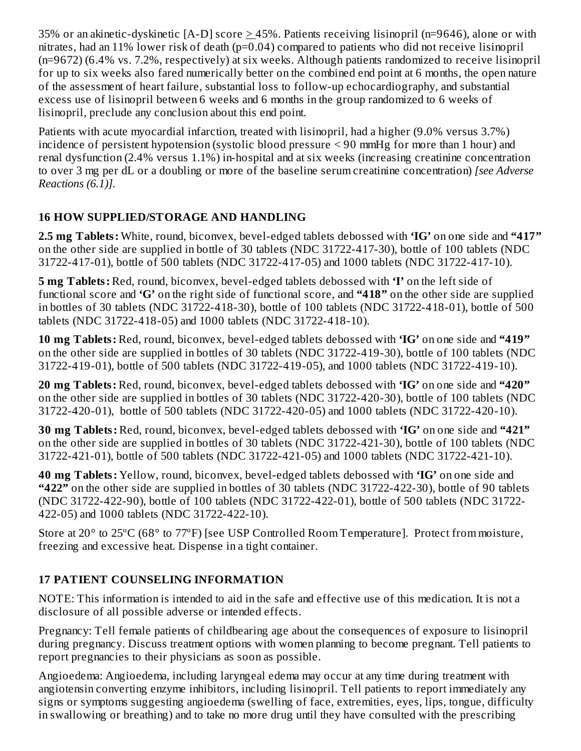35% or an akinetic-dyskinetic [A-D] score > 45%. Patients receiving lisinopril (n=9646), alone or with nitrates, had an 11% lower risk of death (p=0.04) compared to patients who did not receive lisinopril (n=9672) (6.4% vs. 7.2%, respectively) at six weeks. Although patients randomized to receive lisinopril for up to six weeks also fared numerically better on the combined end point at 6 months, the open nature of the assessment of heart failure, substantial loss to follow-up echocardiography, and substantial excess use of lisinopril between 6 weeks and 6 months in the group randomized to 6 weeks of lisinopril, preclude any conclusion about this end point.

Patients with acute myocardial infarction, treated with lisinopril, had a higher (9.0% versus 3.7%) incidence of persistent hypotension (systolic blood pressure < 90 mmHg for more than 1 hour) and renal dysfunction (2.4% versus 1.1%) in-hospital and at six weeks (increasing creatinine concentration to over 3 mg per dL or a doubling or more of the baseline serum creatinine concentration) *[see Adverse Reactions (6.1)].*

### **16 HOW SUPPLIED/STORAGE AND HANDLING**

**2.5 mg Tablets:** White, round, biconvex, bevel-edged tablets debossed with **'IG'** on one side and **"417"** on the other side are supplied in bottle of 30 tablets (NDC 31722-417-30), bottle of 100 tablets (NDC 31722-417-01), bottle of 500 tablets (NDC 31722-417-05) and 1000 tablets (NDC 31722-417-10).

**5 mg Tablets:** Red, round, biconvex, bevel-edged tablets debossed with **'I'** on the left side of functional score and **'G'** on the right side of functional score, and **"418"** on the other side are supplied in bottles of 30 tablets (NDC 31722-418-30), bottle of 100 tablets (NDC 31722-418-01), bottle of 500 tablets (NDC 31722-418-05) and 1000 tablets (NDC 31722-418-10).

**10 mg Tablets:** Red, round, biconvex, bevel-edged tablets debossed with **'IG'** on one side and **"419"** on the other side are supplied in bottles of 30 tablets (NDC 31722-419-30), bottle of 100 tablets (NDC 31722-419-01), bottle of 500 tablets (NDC 31722-419-05), and 1000 tablets (NDC 31722-419-10).

**20 mg Tablets:** Red, round, biconvex, bevel-edged tablets debossed with **'IG'** on one side and **"420"** on the other side are supplied in bottles of 30 tablets (NDC 31722-420-30), bottle of 100 tablets (NDC 31722-420-01), bottle of 500 tablets (NDC 31722-420-05) and 1000 tablets (NDC 31722-420-10).

**30 mg Tablets:** Red, round, biconvex, bevel-edged tablets debossed with **'IG'** on one side and **"421"** on the other side are supplied in bottles of 30 tablets (NDC 31722-421-30), bottle of 100 tablets (NDC 31722-421-01), bottle of 500 tablets (NDC 31722-421-05) and 1000 tablets (NDC 31722-421-10).

**40 mg Tablets:** Yellow, round, biconvex, bevel-edged tablets debossed with **'IG'** on one side and **"422"** on the other side are supplied in bottles of 30 tablets (NDC 31722-422-30), bottle of 90 tablets (NDC 31722-422-90), bottle of 100 tablets (NDC 31722-422-01), bottle of 500 tablets (NDC 31722- 422-05) and 1000 tablets (NDC 31722-422-10).

Store at 20° to 25ºC (68° to 77ºF) [see USP Controlled Room Temperature]. Protect from moisture, freezing and excessive heat. Dispense in a tight container.

# **17 PATIENT COUNSELING INFORMATION**

NOTE: This information is intended to aid in the safe and effective use of this medication. It is not a disclosure of all possible adverse or intended effects.

Pregnancy: Tell female patients of childbearing age about the consequences of exposure to lisinopril during pregnancy. Discuss treatment options with women planning to become pregnant. Tell patients to report pregnancies to their physicians as soon as possible.

Angioedema: Angioedema, including laryngeal edema may occur at any time during treatment with angiotensin converting enzyme inhibitors, including lisinopril. Tell patients to report immediately any signs or symptoms suggesting angioedema (swelling of face, extremities, eyes, lips, tongue, difficulty in swallowing or breathing) and to take no more drug until they have consulted with the prescribing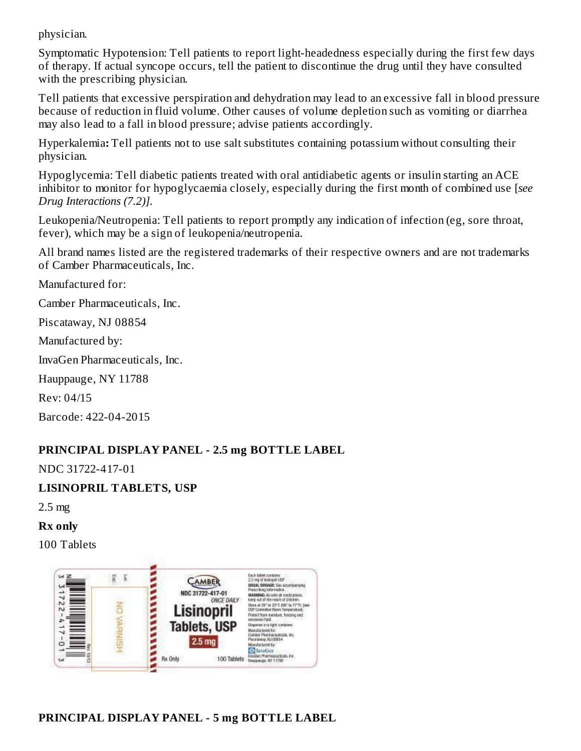physician.

Symptomatic Hypotension: Tell patients to report light-headedness especially during the first few days of therapy. If actual syncope occurs, tell the patient to discontinue the drug until they have consulted with the prescribing physician.

Tell patients that excessive perspiration and dehydration may lead to an excessive fall in blood pressure because of reduction in fluid volume. Other causes of volume depletion such as vomiting or diarrhea may also lead to a fall in blood pressure; advise patients accordingly.

Hyperkalemia**:** Tell patients not to use salt substitutes containing potassium without consulting their physician.

Hypoglycemia: Tell diabetic patients treated with oral antidiabetic agents or insulin starting an ACE inhibitor to monitor for hypoglycaemia closely, especially during the first month of combined use [*see Drug Interactions (7.2)].*

Leukopenia/Neutropenia: Tell patients to report promptly any indication of infection (eg, sore throat, fever), which may be a sign of leukopenia/neutropenia.

All brand names listed are the registered trademarks of their respective owners and are not trademarks of Camber Pharmaceuticals, Inc.

Manufactured for:

Camber Pharmaceuticals, Inc.

Piscataway, NJ 08854

Manufactured by:

InvaGen Pharmaceuticals, Inc.

Hauppauge, NY 11788

Rev: 04/15

Barcode: 422-04-2015

#### **PRINCIPAL DISPLAY PANEL - 2.5 mg BOTTLE LABEL**

NDC 31722-417-01

**LISINOPRIL TABLETS, USP**

2.5 mg

**Rx only**

100 Tablets

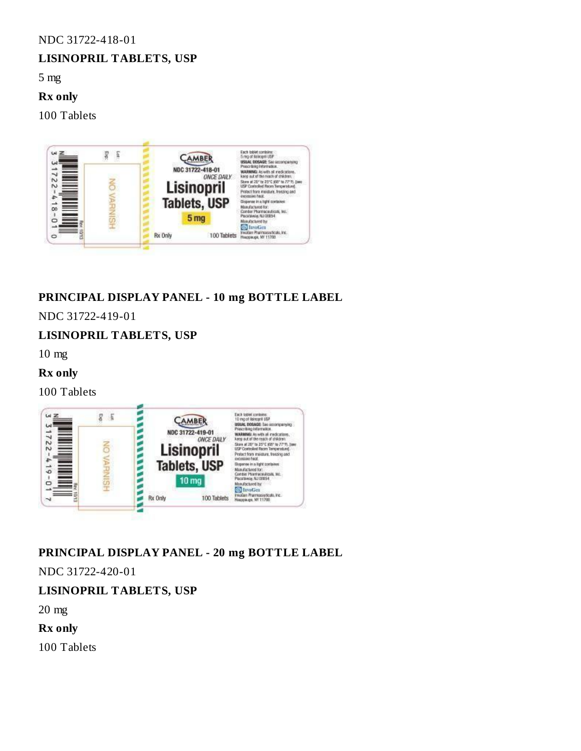#### NDC 31722-418-01

#### **LISINOPRIL TABLETS, USP**

5 mg

#### **Rx only**

100 Tablets



### **PRINCIPAL DISPLAY PANEL - 10 mg BOTTLE LABEL**

NDC 31722-419-01

#### **LISINOPRIL TABLETS, USP**

10 mg

#### **Rx only**

100 Tablets



### **PRINCIPAL DISPLAY PANEL - 20 mg BOTTLE LABEL**

NDC 31722-420-01

### **LISINOPRIL TABLETS, USP**

20 mg

**Rx only**

100 Tablets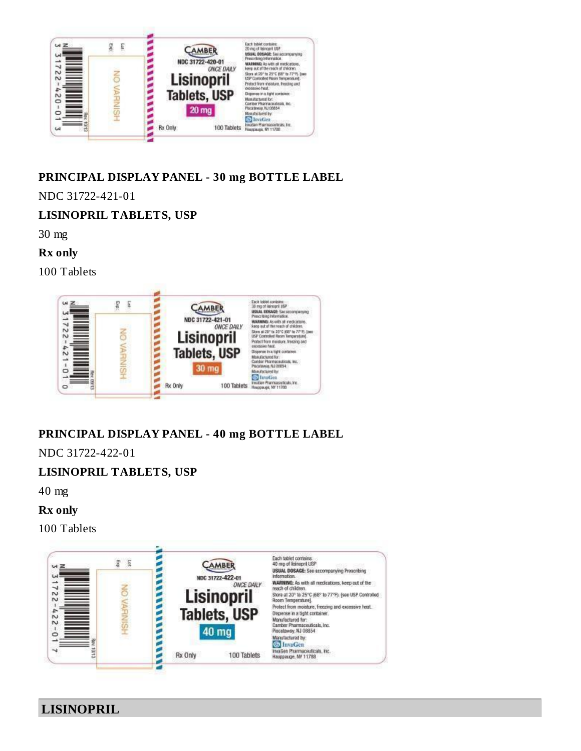

### **PRINCIPAL DISPLAY PANEL - 30 mg BOTTLE LABEL**

NDC 31722-421-01

#### **LISINOPRIL TABLETS, USP**

30 mg

**Rx only**

100 Tablets



# **PRINCIPAL DISPLAY PANEL - 40 mg BOTTLE LABEL**

NDC 31722-422-01

### **LISINOPRIL TABLETS, USP**

40 mg

**Rx only**

100 Tablets



**LISINOPRIL**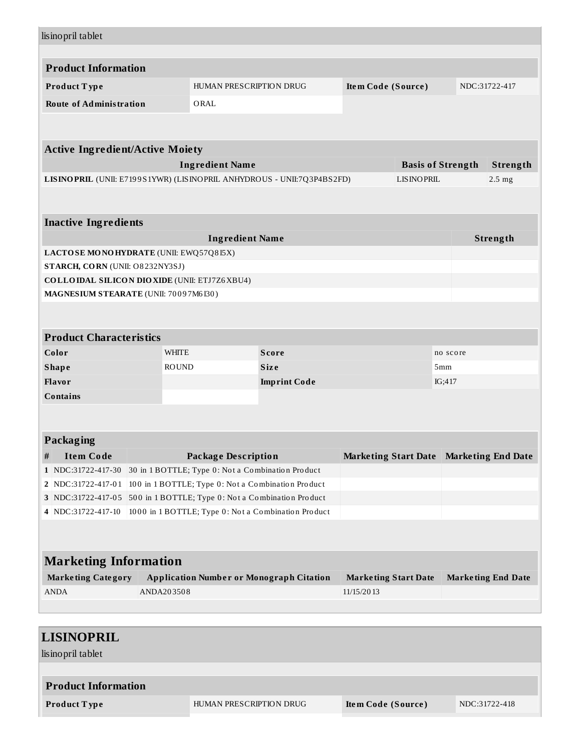| lisinopril tablet                                                      |              |                                                   |                                                     |                             |                   |                          |                           |  |
|------------------------------------------------------------------------|--------------|---------------------------------------------------|-----------------------------------------------------|-----------------------------|-------------------|--------------------------|---------------------------|--|
| <b>Product Information</b>                                             |              |                                                   |                                                     |                             |                   |                          |                           |  |
| Product Type                                                           |              | HUMAN PRESCRIPTION DRUG                           |                                                     | Item Code (Source)          |                   |                          | NDC:31722-417             |  |
| <b>Route of Administration</b>                                         |              | ORAL                                              |                                                     |                             |                   |                          |                           |  |
|                                                                        |              |                                                   |                                                     |                             |                   |                          |                           |  |
|                                                                        |              |                                                   |                                                     |                             |                   |                          |                           |  |
| <b>Active Ingredient/Active Moiety</b>                                 |              |                                                   |                                                     |                             |                   |                          |                           |  |
|                                                                        |              | <b>Ingredient Name</b>                            |                                                     |                             |                   | <b>Basis of Strength</b> | Strength                  |  |
| LISINOPRIL (UNII: E7199S1YWR) (LISINOPRIL ANHYDROUS - UNII:7Q3P4BS2FD) |              |                                                   |                                                     |                             | <b>LISINOPRIL</b> |                          | $2.5$ mg                  |  |
|                                                                        |              |                                                   |                                                     |                             |                   |                          |                           |  |
| <b>Inactive Ingredients</b>                                            |              |                                                   |                                                     |                             |                   |                          |                           |  |
|                                                                        |              | <b>Ingredient Name</b>                            |                                                     |                             |                   |                          | Strength                  |  |
| LACTOSE MONOHYDRATE (UNII: EWQ57Q8I5X)                                 |              |                                                   |                                                     |                             |                   |                          |                           |  |
| STARCH, CORN (UNII: O8232NY3SJ)                                        |              |                                                   |                                                     |                             |                   |                          |                           |  |
| <b>COLLOIDAL SILICON DIOXIDE (UNII: ETJ7Z6XBU4)</b>                    |              |                                                   |                                                     |                             |                   |                          |                           |  |
| MAGNESIUM STEARATE (UNII: 70097M6I30)                                  |              |                                                   |                                                     |                             |                   |                          |                           |  |
|                                                                        |              |                                                   |                                                     |                             |                   |                          |                           |  |
| <b>Product Characteristics</b>                                         |              |                                                   |                                                     |                             |                   |                          |                           |  |
| Color                                                                  | <b>WHITE</b> |                                                   | <b>Score</b>                                        |                             |                   | no score                 |                           |  |
| <b>Shape</b>                                                           | <b>ROUND</b> |                                                   | <b>Size</b>                                         |                             |                   | 5mm                      |                           |  |
| Flavor                                                                 |              |                                                   | <b>Imprint Code</b>                                 |                             |                   | IG;417                   |                           |  |
| <b>Contains</b>                                                        |              |                                                   |                                                     |                             |                   |                          |                           |  |
|                                                                        |              |                                                   |                                                     |                             |                   |                          |                           |  |
| Packaging                                                              |              |                                                   |                                                     |                             |                   |                          |                           |  |
| <b>Item Code</b><br>#                                                  |              | <b>Package Description</b>                        |                                                     | <b>Marketing Start Date</b> |                   |                          | <b>Marketing End Date</b> |  |
| 1 NDC:31722-417-30                                                     |              | 30 in 1 BOTTLE; Type 0: Not a Combination Product |                                                     |                             |                   |                          |                           |  |
| 2   NDC:31722-417-01                                                   |              |                                                   | 100 in 1 BOTTLE; Type 0: Not a Combination Product  |                             |                   |                          |                           |  |
| 3 NDC:31722-417-05 500 in 1 BOTTLE; Type 0: Not a Combination Product  |              |                                                   |                                                     |                             |                   |                          |                           |  |
| 4 NDC:31722-417-10                                                     |              |                                                   | 1000 in 1 BOTTLE; Type 0: Not a Combination Product |                             |                   |                          |                           |  |
|                                                                        |              |                                                   |                                                     |                             |                   |                          |                           |  |
|                                                                        |              |                                                   |                                                     |                             |                   |                          |                           |  |
| <b>Marketing Information</b>                                           |              |                                                   |                                                     |                             |                   |                          |                           |  |
| <b>Marketing Category</b>                                              |              |                                                   | <b>Application Number or Monograph Citation</b>     | <b>Marketing Start Date</b> |                   |                          | <b>Marketing End Date</b> |  |
|                                                                        |              |                                                   |                                                     | 11/15/2013                  |                   |                          |                           |  |
| <b>ANDA</b>                                                            | ANDA203508   |                                                   |                                                     |                             |                   |                          |                           |  |
|                                                                        |              |                                                   |                                                     |                             |                   |                          |                           |  |
|                                                                        |              |                                                   |                                                     |                             |                   |                          |                           |  |

lisinopril tablet

| <b>Product Information</b> |                         |                    |               |
|----------------------------|-------------------------|--------------------|---------------|
| Product Type               | HUMAN PRESCRIPTION DRUG | Item Code (Source) | NDC:31722-418 |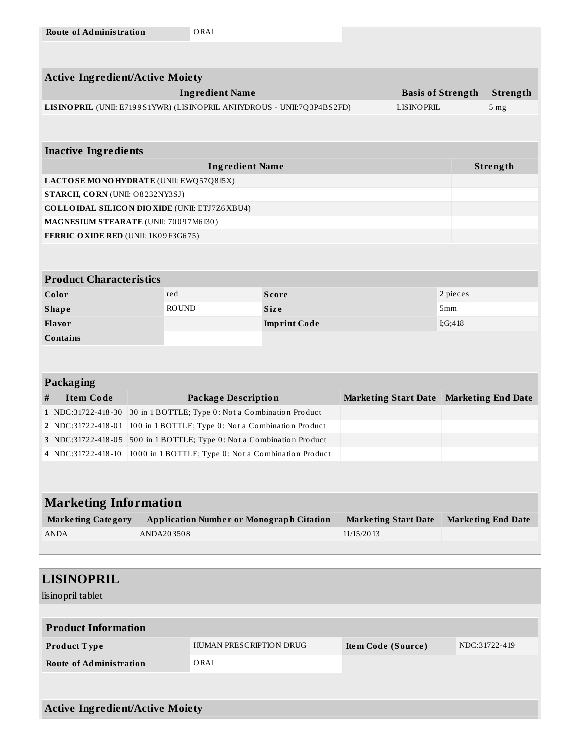| <b>Route of Administration</b>         | ORAL                                                                     |                     |                             |                          |                           |
|----------------------------------------|--------------------------------------------------------------------------|---------------------|-----------------------------|--------------------------|---------------------------|
|                                        |                                                                          |                     |                             |                          |                           |
|                                        |                                                                          |                     |                             |                          |                           |
| <b>Active Ingredient/Active Moiety</b> |                                                                          |                     |                             |                          |                           |
|                                        | <b>Ingredient Name</b>                                                   |                     |                             | <b>Basis of Strength</b> | Strength                  |
|                                        | LISINO PRIL (UNII: E7199S1YWR) (LISINO PRIL ANHYDROUS - UNII:7Q3P4BS2FD) |                     | <b>LISINOPRIL</b>           |                          | 5 <sub>mg</sub>           |
|                                        |                                                                          |                     |                             |                          |                           |
| <b>Inactive Ingredients</b>            |                                                                          |                     |                             |                          |                           |
|                                        | <b>Ingredient Name</b>                                                   |                     |                             |                          | Strength                  |
| LACTOSE MONOHYDRATE (UNII: EWQ57Q8I5X) |                                                                          |                     |                             |                          |                           |
| STARCH, CORN (UNII: O8232NY3SJ)        |                                                                          |                     |                             |                          |                           |
|                                        | <b>COLLOIDAL SILICON DIOXIDE (UNII: ETJ7Z6XBU4)</b>                      |                     |                             |                          |                           |
| MAGNESIUM STEARATE (UNII: 70097M6I30)  |                                                                          |                     |                             |                          |                           |
| FERRIC OXIDE RED (UNII: 1K09F3G675)    |                                                                          |                     |                             |                          |                           |
|                                        |                                                                          |                     |                             |                          |                           |
| <b>Product Characteristics</b>         |                                                                          |                     |                             |                          |                           |
| Color                                  | red                                                                      | <b>Score</b>        |                             | 2 pieces                 |                           |
| <b>Shape</b>                           | <b>ROUND</b>                                                             | <b>Size</b>         |                             | 5mm                      |                           |
| <b>Flavor</b>                          |                                                                          | <b>Imprint Code</b> |                             | I; $G$ ; $418$           |                           |
| <b>Contains</b>                        |                                                                          |                     |                             |                          |                           |
|                                        |                                                                          |                     |                             |                          |                           |
|                                        |                                                                          |                     |                             |                          |                           |
| <b>Packaging</b>                       |                                                                          |                     |                             |                          |                           |
| <b>Item Code</b><br>#                  | <b>Package Description</b>                                               |                     | <b>Marketing Start Date</b> |                          | <b>Marketing End Date</b> |
|                                        | 1 NDC:31722-418-30 30 in 1 BOTTLE; Type 0: Not a Combination Product     |                     |                             |                          |                           |
|                                        | 2 NDC:31722-418-01 100 in 1 BOTTLE; Type 0: Not a Combination Product    |                     |                             |                          |                           |
|                                        | 3 NDC:31722-418-05 500 in 1 BOTTLE; Type 0: Not a Combination Product    |                     |                             |                          |                           |
|                                        | 4 NDC:31722-418-10 1000 in 1 BOTTLE; Type 0: Not a Combination Product   |                     |                             |                          |                           |
|                                        |                                                                          |                     |                             |                          |                           |
|                                        |                                                                          |                     |                             |                          |                           |
| <b>Marketing Information</b>           |                                                                          |                     |                             |                          |                           |
| <b>Marketing Category</b>              | <b>Application Number or Monograph Citation</b>                          |                     | <b>Marketing Start Date</b> |                          | <b>Marketing End Date</b> |
| <b>ANDA</b>                            | ANDA203508                                                               |                     | 11/15/2013                  |                          |                           |
|                                        |                                                                          |                     |                             |                          |                           |
|                                        |                                                                          |                     |                             |                          |                           |

| <b>LISINOPRIL</b>                      |                         |                    |               |
|----------------------------------------|-------------------------|--------------------|---------------|
| lisinopril tablet                      |                         |                    |               |
|                                        |                         |                    |               |
| <b>Product Information</b>             |                         |                    |               |
| <b>Product Type</b>                    | HUMAN PRESCRIPTION DRUG | Item Code (Source) | NDC:31722-419 |
| <b>Route of Administration</b>         | ORAL                    |                    |               |
|                                        |                         |                    |               |
|                                        |                         |                    |               |
| <b>Active Ingredient/Active Moiety</b> |                         |                    |               |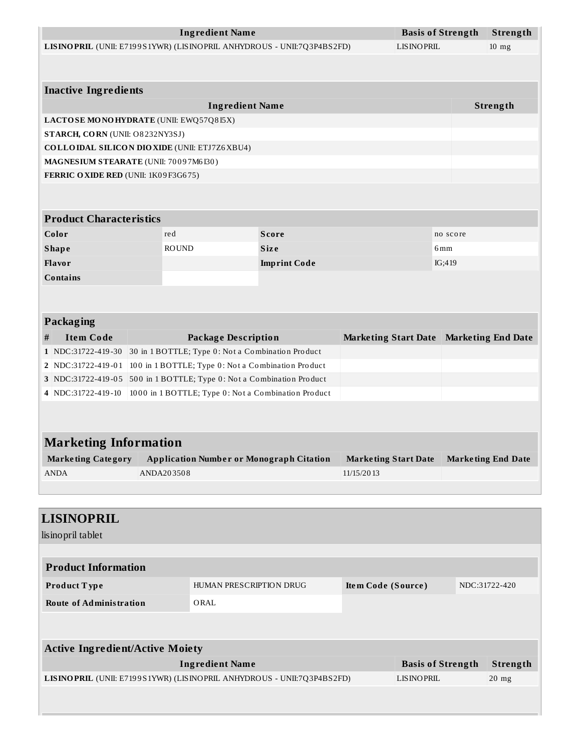|   |                                                                       |              | <b>Ingredient Name</b>                            |                                                                        |                             | <b>Basis of Strength</b> |          | Strength                  |
|---|-----------------------------------------------------------------------|--------------|---------------------------------------------------|------------------------------------------------------------------------|-----------------------------|--------------------------|----------|---------------------------|
|   |                                                                       |              |                                                   | LISINOPRIL (UNII: E7199S1YWR) (LISINOPRIL ANHYDROUS - UNII:7Q3P4BS2FD) |                             | <b>LISINOPRIL</b>        |          | $10$ mg                   |
|   |                                                                       |              |                                                   |                                                                        |                             |                          |          |                           |
|   | <b>Inactive Ingredients</b>                                           |              |                                                   |                                                                        |                             |                          |          |                           |
|   |                                                                       |              | <b>Ingredient Name</b>                            |                                                                        |                             |                          |          | Strength                  |
|   | LACTOSE MONOHYDRATE (UNII: EWQ57Q8I5X)                                |              |                                                   |                                                                        |                             |                          |          |                           |
|   | STARCH, CORN (UNII: O8232NY3SJ)                                       |              |                                                   |                                                                        |                             |                          |          |                           |
|   | <b>COLLOIDAL SILICON DIOXIDE (UNII: ETJ7Z6XBU4)</b>                   |              |                                                   |                                                                        |                             |                          |          |                           |
|   | MAGNESIUM STEARATE (UNII: 70097M6I30)                                 |              |                                                   |                                                                        |                             |                          |          |                           |
|   | FERRIC OXIDE RED (UNII: 1K09F3G675)                                   |              |                                                   |                                                                        |                             |                          |          |                           |
|   |                                                                       |              |                                                   |                                                                        |                             |                          |          |                           |
|   |                                                                       |              |                                                   |                                                                        |                             |                          |          |                           |
|   | <b>Product Characteristics</b>                                        |              |                                                   |                                                                        |                             |                          |          |                           |
|   | Color                                                                 | red          |                                                   | <b>Score</b>                                                           |                             |                          | no score |                           |
|   | <b>Shape</b>                                                          | <b>ROUND</b> |                                                   | <b>Size</b>                                                            |                             |                          | 6mm      |                           |
|   | Flavor                                                                |              |                                                   | <b>Imprint Code</b>                                                    |                             |                          | IG;419   |                           |
|   | <b>Contains</b>                                                       |              |                                                   |                                                                        |                             |                          |          |                           |
|   |                                                                       |              |                                                   |                                                                        |                             |                          |          |                           |
|   |                                                                       |              |                                                   |                                                                        |                             |                          |          |                           |
|   | <b>Packaging</b>                                                      |              |                                                   |                                                                        |                             |                          |          |                           |
| # | <b>Item Code</b>                                                      |              | <b>Package Description</b>                        |                                                                        | <b>Marketing Start Date</b> |                          |          | <b>Marketing End Date</b> |
|   | 1 NDC:31722-419-30                                                    |              | 30 in 1 BOTTLE; Type 0: Not a Combination Product |                                                                        |                             |                          |          |                           |
|   | 2   NDC:31722-419-01                                                  |              |                                                   | 100 in 1 BOTTLE; Type 0: Not a Combination Product                     |                             |                          |          |                           |
|   | 3 NDC:31722-419-05 500 in 1 BOTTLE; Type 0: Not a Combination Product |              |                                                   |                                                                        |                             |                          |          |                           |
|   | 4 NDC:31722-419-10                                                    |              |                                                   | 1000 in 1 BOTTLE; Type 0: Not a Combination Product                    |                             |                          |          |                           |
|   |                                                                       |              |                                                   |                                                                        |                             |                          |          |                           |
|   |                                                                       |              |                                                   |                                                                        |                             |                          |          |                           |
|   | <b>Marketing Information</b>                                          |              |                                                   |                                                                        |                             |                          |          |                           |
|   | <b>Marketing Category</b>                                             |              |                                                   | <b>Application Number or Monograph Citation</b>                        | <b>Marketing Start Date</b> |                          |          | <b>Marketing End Date</b> |
|   | <b>ANDA</b>                                                           | ANDA203508   |                                                   |                                                                        | 11/15/2013                  |                          |          |                           |
|   |                                                                       |              |                                                   |                                                                        |                             |                          |          |                           |
|   |                                                                       |              |                                                   |                                                                        |                             |                          |          |                           |
|   | <b>LISINOPRIL</b>                                                     |              |                                                   |                                                                        |                             |                          |          |                           |
|   | lisinopril tablet                                                     |              |                                                   |                                                                        |                             |                          |          |                           |
|   |                                                                       |              |                                                   |                                                                        |                             |                          |          |                           |
|   | <b>Product Information</b>                                            |              |                                                   |                                                                        |                             |                          |          |                           |
|   | Product Type                                                          |              | HUMAN PRESCRIPTION DRUG                           |                                                                        | Item Code (Source)          |                          |          | NDC:31722-420             |
|   |                                                                       |              |                                                   |                                                                        |                             |                          |          |                           |
|   | <b>Route of Administration</b>                                        |              | ORAL                                              |                                                                        |                             |                          |          |                           |
|   |                                                                       |              |                                                   |                                                                        |                             |                          |          |                           |
|   |                                                                       |              |                                                   |                                                                        |                             |                          |          |                           |

| <b>Active Ingredient/Active Moiety</b>                                 |                          |                 |
|------------------------------------------------------------------------|--------------------------|-----------------|
| Ingredient Name                                                        | <b>Basis of Strength</b> | — Strength      |
| LISINOPRIL (UNII: E7199S1YWR) (LISINOPRIL ANHYDROUS - UNII:7Q3P4BS2FD) | LISINOPRIL               | $20 \text{ mg}$ |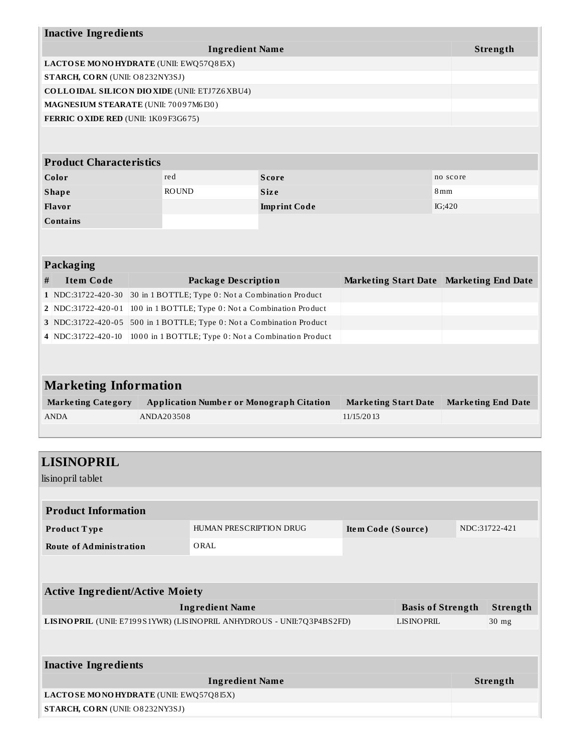|   | <b>Inactive Ingredients</b>           |                                                     |                     |                             |                                           |  |
|---|---------------------------------------|-----------------------------------------------------|---------------------|-----------------------------|-------------------------------------------|--|
|   |                                       | <b>Ingredient Name</b>                              |                     |                             | Strength                                  |  |
|   |                                       | LACTOSE MONOHYDRATE (UNII: EWQ57Q8I5X)              |                     |                             |                                           |  |
|   | STARCH, CORN (UNII: O8232NY3SJ)       |                                                     |                     |                             |                                           |  |
|   |                                       | <b>COLLOIDAL SILICON DIOXIDE (UNII: ETJ7Z6XBU4)</b> |                     |                             |                                           |  |
|   | MAGNESIUM STEARATE (UNII: 70097M6I30) |                                                     |                     |                             |                                           |  |
|   | FERRIC OXIDE RED (UNII: 1K09F3G675)   |                                                     |                     |                             |                                           |  |
|   |                                       |                                                     |                     |                             |                                           |  |
|   |                                       |                                                     |                     |                             |                                           |  |
|   | <b>Product Characteristics</b>        |                                                     |                     |                             |                                           |  |
|   | Color                                 | red                                                 | <b>Score</b>        |                             | no score                                  |  |
|   | <b>Shape</b>                          | <b>ROUND</b>                                        | <b>Size</b>         |                             | 8 <sub>mm</sub>                           |  |
|   | Flavor                                |                                                     | <b>Imprint Code</b> |                             | IG;420                                    |  |
|   | <b>Contains</b>                       |                                                     |                     |                             |                                           |  |
|   |                                       |                                                     |                     |                             |                                           |  |
|   |                                       |                                                     |                     |                             |                                           |  |
|   | Packaging                             |                                                     |                     |                             |                                           |  |
| # | <b>Item Code</b>                      | <b>Package Description</b>                          |                     |                             | Marketing Start Date   Marketing End Date |  |
|   | 1 NDC:31722-420-30                    | 30 in 1 BOTTLE; Type 0: Not a Combination Product   |                     |                             |                                           |  |
|   | 2 NDC:31722-420-01                    | 100 in 1 BOTTLE; Type 0: Not a Combination Product  |                     |                             |                                           |  |
|   | 3 NDC:31722-420-05                    | 500 in 1 BOTTLE; Type 0: Not a Combination Product  |                     |                             |                                           |  |
|   | 4 NDC:31722-420-10                    | 1000 in 1 BOTTLE; Type 0: Not a Combination Product |                     |                             |                                           |  |
|   |                                       |                                                     |                     |                             |                                           |  |
|   |                                       |                                                     |                     |                             |                                           |  |
|   | <b>Marketing Information</b>          |                                                     |                     |                             |                                           |  |
|   | <b>Marketing Category</b>             | <b>Application Number or Monograph Citation</b>     |                     | <b>Marketing Start Date</b> | <b>Marketing End Date</b>                 |  |

| Marketing Category | Application Number or Monograph Citation | Marketing Start Date Marketing End Date |  |
|--------------------|------------------------------------------|-----------------------------------------|--|
| ANDA               | ANDA203508                               | 11/15/2013                              |  |

| <b>LISINOPRIL</b>                      |                                                                        |                    |                          |  |               |
|----------------------------------------|------------------------------------------------------------------------|--------------------|--------------------------|--|---------------|
| lisinopril tablet                      |                                                                        |                    |                          |  |               |
|                                        |                                                                        |                    |                          |  |               |
| <b>Product Information</b>             |                                                                        |                    |                          |  |               |
| Product Type                           | HUMAN PRESCRIPTION DRUG                                                | Item Code (Source) |                          |  | NDC:31722-421 |
| <b>Route of Administration</b>         | ORAL                                                                   |                    |                          |  |               |
|                                        |                                                                        |                    |                          |  |               |
|                                        |                                                                        |                    |                          |  |               |
| <b>Active Ingredient/Active Moiety</b> |                                                                        |                    |                          |  |               |
|                                        | <b>Ingredient Name</b>                                                 |                    | <b>Basis of Strength</b> |  | Strength      |
|                                        | LISINOPRIL (UNII: E7199S1YWR) (LISINOPRIL ANHYDROUS - UNII:7Q3P4BS2FD) |                    | LISINOPRIL               |  | $30$ mg       |
|                                        |                                                                        |                    |                          |  |               |
| <b>Inactive Ingredients</b>            |                                                                        |                    |                          |  |               |
|                                        |                                                                        |                    |                          |  |               |
|                                        | <b>Ingredient Name</b>                                                 |                    |                          |  | Strength      |
| LACTOSE MONOHYDRATE (UNII: EWQ57Q8I5X) |                                                                        |                    |                          |  |               |
| STARCH, CORN (UNII: O8232NY3SJ)        |                                                                        |                    |                          |  |               |
|                                        |                                                                        |                    |                          |  |               |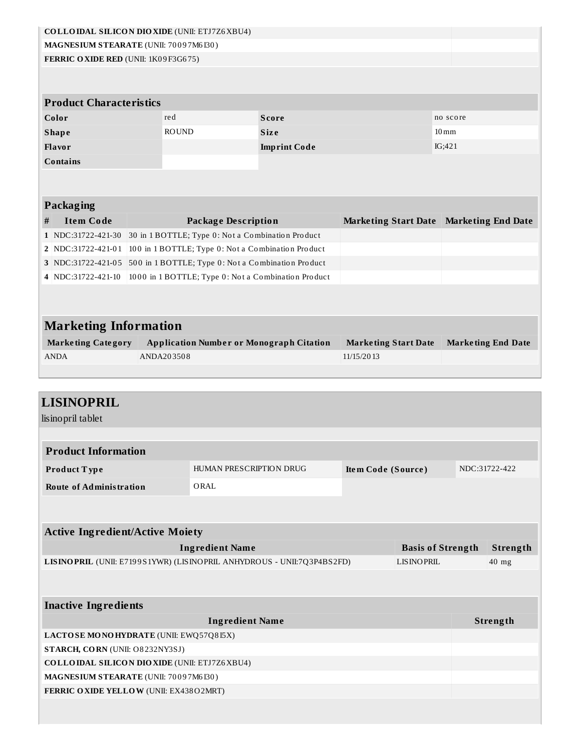|                                        |            | <b>COLLOIDAL SILICON DIOXIDE (UNII: ETJ7Z6XBU4)</b>                    |                     |                             |                          |                    |                           |
|----------------------------------------|------------|------------------------------------------------------------------------|---------------------|-----------------------------|--------------------------|--------------------|---------------------------|
| MAGNESIUM STEARATE (UNII: 70097M6I30)  |            |                                                                        |                     |                             |                          |                    |                           |
| FERRIC OXIDE RED (UNII: 1K09F3G675)    |            |                                                                        |                     |                             |                          |                    |                           |
|                                        |            |                                                                        |                     |                             |                          |                    |                           |
|                                        |            |                                                                        |                     |                             |                          |                    |                           |
| <b>Product Characteristics</b>         |            |                                                                        |                     |                             |                          |                    |                           |
| Color                                  |            | red                                                                    | <b>Score</b>        |                             |                          | no score           |                           |
| <b>Shape</b>                           |            | <b>ROUND</b>                                                           | <b>Size</b>         |                             |                          | $10 \,\mathrm{mm}$ |                           |
| Flavor                                 |            |                                                                        | <b>Imprint Code</b> |                             |                          | IG;421             |                           |
| <b>Contains</b>                        |            |                                                                        |                     |                             |                          |                    |                           |
|                                        |            |                                                                        |                     |                             |                          |                    |                           |
|                                        |            |                                                                        |                     |                             |                          |                    |                           |
| <b>Packaging</b>                       |            |                                                                        |                     |                             |                          |                    |                           |
| <b>Item Code</b><br>#                  |            | <b>Package Description</b>                                             |                     | <b>Marketing Start Date</b> |                          |                    | <b>Marketing End Date</b> |
| 1 NDC:31722-421-30                     |            | 30 in 1 BOTTLE; Type 0: Not a Combination Product                      |                     |                             |                          |                    |                           |
| 2 NDC:31722-421-01                     |            | 100 in 1 BOTTLE; Type 0: Not a Combination Product                     |                     |                             |                          |                    |                           |
|                                        |            | 3 NDC:31722-421-05 500 in 1 BOTTLE; Type 0: Not a Combination Product  |                     |                             |                          |                    |                           |
| 4 NDC:31722-421-10                     |            | 1000 in 1 BOTTLE; Type 0: Not a Combination Product                    |                     |                             |                          |                    |                           |
|                                        |            |                                                                        |                     |                             |                          |                    |                           |
|                                        |            |                                                                        |                     |                             |                          |                    |                           |
|                                        |            |                                                                        |                     |                             |                          |                    |                           |
| <b>Marketing Information</b>           |            |                                                                        |                     |                             |                          |                    |                           |
| <b>Marketing Category</b>              |            | <b>Application Number or Monograph Citation</b>                        |                     | <b>Marketing Start Date</b> |                          |                    | <b>Marketing End Date</b> |
| <b>ANDA</b>                            | ANDA203508 |                                                                        |                     | 11/15/2013                  |                          |                    |                           |
|                                        |            |                                                                        |                     |                             |                          |                    |                           |
|                                        |            |                                                                        |                     |                             |                          |                    |                           |
|                                        |            |                                                                        |                     |                             |                          |                    |                           |
|                                        |            |                                                                        |                     |                             |                          |                    |                           |
| <b>LISINOPRIL</b>                      |            |                                                                        |                     |                             |                          |                    |                           |
| lisinopril tablet                      |            |                                                                        |                     |                             |                          |                    |                           |
|                                        |            |                                                                        |                     |                             |                          |                    |                           |
| <b>Product Information</b>             |            |                                                                        |                     |                             |                          |                    |                           |
| Product Type                           |            | HUMAN PRESCRIPTION DRUG                                                |                     | Item Code (Source)          |                          |                    | NDC:31722-422             |
|                                        |            |                                                                        |                     |                             |                          |                    |                           |
| <b>Route of Administration</b>         |            | ORAL                                                                   |                     |                             |                          |                    |                           |
|                                        |            |                                                                        |                     |                             |                          |                    |                           |
|                                        |            |                                                                        |                     |                             |                          |                    |                           |
| <b>Active Ingredient/Active Moiety</b> |            |                                                                        |                     |                             |                          |                    |                           |
|                                        |            | <b>Ingredient Name</b>                                                 |                     |                             | <b>Basis of Strength</b> |                    | Strength                  |
|                                        |            | LISINOPRIL (UNII: E7199S1YWR) (LISINOPRIL ANHYDROUS - UNII:7Q3P4BS2FD) |                     |                             | <b>LISINOPRIL</b>        |                    | 40 mg                     |
|                                        |            |                                                                        |                     |                             |                          |                    |                           |
|                                        |            |                                                                        |                     |                             |                          |                    |                           |
| <b>Inactive Ingredients</b>            |            |                                                                        |                     |                             |                          |                    |                           |
|                                        |            | <b>Ingredient Name</b>                                                 |                     |                             |                          |                    | Strength                  |
| LACTOSE MONOHYDRATE (UNII: EWQ57Q8I5X) |            |                                                                        |                     |                             |                          |                    |                           |
| STARCH, CORN (UNII: O8232NY3SJ)        |            |                                                                        |                     |                             |                          |                    |                           |
|                                        |            | <b>COLLOIDAL SILICON DIOXIDE (UNII: ETJ7Z6XBU4)</b>                    |                     |                             |                          |                    |                           |
| MAGNESIUM STEARATE (UNII: 70097M6I30)  |            |                                                                        |                     |                             |                          |                    |                           |
| FERRIC OXIDE YELLOW (UNII: EX438O2MRT) |            |                                                                        |                     |                             |                          |                    |                           |
|                                        |            |                                                                        |                     |                             |                          |                    |                           |